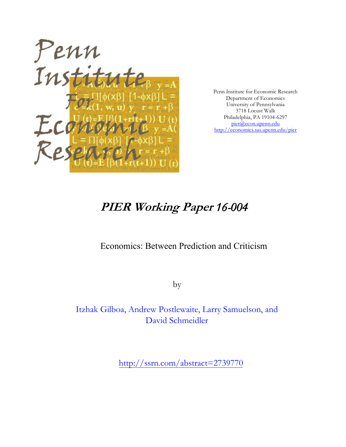

Penn Institute for Economic Research Department of Economics University of Pennsylvania 3718 Locust Walk Philadelphia, PA 19104-6297 [pier@econ.upenn.edu](mailto:pier@econ.upenn.edu) <http://economics.sas.upenn.edu/pier>

# **PIER Working Paper** *16-004*

## Economics: Between Prediction and Criticism

by

Itzhak Gilboa, Andrew Postlewaite, Larry Samuelson, and David Schmeidler

[http://ssrn.com/abstract=](http://ssrn.com/abstract_id=)2739770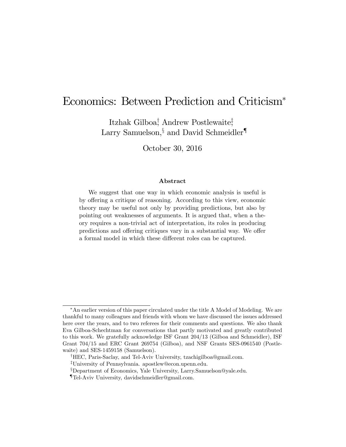## Economics: Between Prediction and Criticism

Itzhak Gilboa<sup>†</sup>, Andrew Postlewaite<sup>†</sup>, Larry Samuelson,  $\S$  and David Schmeidler<sup>¶</sup>

October 30, 2016

#### Abstract

We suggest that one way in which economic analysis is useful is by offering a critique of reasoning. According to this view, economic theory may be useful not only by providing predictions, but also by pointing out weaknesses of arguments. It is argued that, when a theory requires a non-trivial act of interpretation, its roles in producing predictions and offering critiques vary in a substantial way. We offer a formal model in which these different roles can be captured.

An earlier version of this paper circulated under the title A Model of Modeling. We are thankful to many colleagues and friends with whom we have discussed the issues addressed here over the years, and to two referees for their comments and questions. We also thank Eva Gilboa-Schechtman for conversations that partly motivated and greatly contributed to this work. We gratefully acknowledge ISF Grant 204/13 (Gilboa and Schmeidler), ISF Grant 704/15 and ERC Grant 269754 (Gilboa), and NSF Grants SES-0961540 (Postlewaite) and SES-1459158 (Samuelson).

<sup>&</sup>lt;sup>†</sup>HEC, Paris-Saclay, and Tel-Aviv University, tzachigilboa@gmail.com.

<sup>&</sup>lt;sup>‡</sup>University of Pennsylvania. apostlew@econ.upenn.edu.

<sup>&</sup>lt;sup>§</sup>Department of Economics, Yale University, Larry.Samuelson@yale.edu.

<sup>{</sup>Tel-Aviv University, davidschmeidler@gmail.com.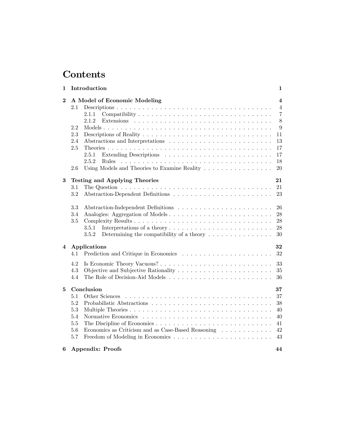## Contents

| 1                | Introduction                                                                                                                                                                                            | 1                                                                                                         |
|------------------|---------------------------------------------------------------------------------------------------------------------------------------------------------------------------------------------------------|-----------------------------------------------------------------------------------------------------------|
| $\boldsymbol{2}$ | A Model of Economic Modeling<br>2.1<br>2.1.1<br>2.1.2<br>2.2<br>2.3<br>2.4<br>Abstractions and Interpretations<br>2.5<br>2.5.1<br>2.5.2<br>Rules<br>Using Models and Theories to Examine Reality<br>2.6 | $\overline{\mathbf{4}}$<br>$\overline{4}$<br>$\overline{7}$<br>8<br>9<br>11<br>13<br>17<br>17<br>18<br>20 |
| 3                | <b>Testing and Applying Theories</b><br>The Question $\ldots \ldots \ldots \ldots \ldots \ldots \ldots \ldots \ldots \ldots \ldots$<br>$3.1\,$<br>3.2                                                   | 21<br>21<br>23                                                                                            |
|                  | 3.3<br>3.4<br>$3.5\,$<br>3.5.1<br>3.5.2<br>Determining the compatibility of a theory $\dots \dots \dots \dots \dots$                                                                                    | 26<br>28<br>28<br>28<br>30                                                                                |
| 4                | Applications<br>4.1                                                                                                                                                                                     | 32<br>32                                                                                                  |
|                  | 4.2<br>4.3<br>4.4                                                                                                                                                                                       | 33<br>35<br>36                                                                                            |
| 5                | Conclusion<br>5.1<br>5.2<br>5.3<br>5.4<br>5.5<br>Economics as Criticism and as Case-Based Reasoning<br>5.6<br>5.7                                                                                       | 37<br>37<br>38<br>40<br>40<br>41<br>42<br>43                                                              |
| 6                | <b>Appendix: Proofs</b>                                                                                                                                                                                 | 44                                                                                                        |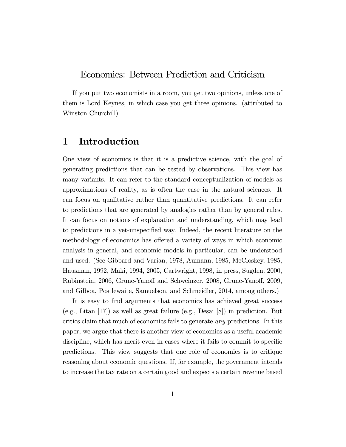## Economics: Between Prediction and Criticism

If you put two economists in a room, you get two opinions, unless one of them is Lord Keynes, in which case you get three opinions. (attributed to Winston Churchill)

## 1 Introduction

One view of economics is that it is a predictive science, with the goal of generating predictions that can be tested by observations. This view has many variants. It can refer to the standard conceptualization of models as approximations of reality, as is often the case in the natural sciences. It can focus on qualitative rather than quantitative predictions. It can refer to predictions that are generated by analogies rather than by general rules. It can focus on notions of explanation and understanding, which may lead to predictions in a yet-unspecified way. Indeed, the recent literature on the methodology of economics has offered a variety of ways in which economic analysis in general, and economic models in particular, can be understood and used. (See Gibbard and Varian, 1978, Aumann, 1985, McCloskey, 1985, Hausman, 1992, Maki, 1994, 2005, Cartwright, 1998, in press, Sugden, 2000, Rubinstein, 2006, Grune-Yanoff and Schweinzer, 2008, Grune-Yanoff, 2009, and Gilboa, Postlewaite, Samuelson, and Schmeidler, 2014, among others.)

It is easy to find arguments that economics has achieved great success  $(e.g., Litan |17|)$  as well as great failure  $(e.g., Desai |8|)$  in prediction. But critics claim that much of economics fails to generate any predictions. In this paper, we argue that there is another view of economics as a useful academic discipline, which has merit even in cases where it fails to commit to specific predictions. This view suggests that one role of economics is to critique reasoning about economic questions. If, for example, the government intends to increase the tax rate on a certain good and expects a certain revenue based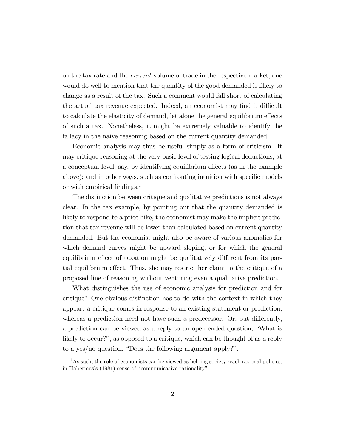on the tax rate and the current volume of trade in the respective market, one would do well to mention that the quantity of the good demanded is likely to change as a result of the tax. Such a comment would fall short of calculating the actual tax revenue expected. Indeed, an economist may find it difficult to calculate the elasticity of demand, let alone the general equilibrium effects of such a tax. Nonetheless, it might be extremely valuable to identify the fallacy in the naive reasoning based on the current quantity demanded.

Economic analysis may thus be useful simply as a form of criticism. It may critique reasoning at the very basic level of testing logical deductions; at a conceptual level, say, by identifying equilibrium effects (as in the example above); and in other ways, such as confronting intuition with specific models or with empirical findings.<sup>1</sup>

The distinction between critique and qualitative predictions is not always clear. In the tax example, by pointing out that the quantity demanded is likely to respond to a price hike, the economist may make the implicit prediction that tax revenue will be lower than calculated based on current quantity demanded. But the economist might also be aware of various anomalies for which demand curves might be upward sloping, or for which the general equilibrium effect of taxation might be qualitatively different from its partial equilibrium effect. Thus, she may restrict her claim to the critique of a proposed line of reasoning without venturing even a qualitative prediction.

What distinguishes the use of economic analysis for prediction and for critique? One obvious distinction has to do with the context in which they appear: a critique comes in response to an existing statement or prediction, whereas a prediction need not have such a predecessor. Or, put differently, a prediction can be viewed as a reply to an open-ended question, "What is likely to occur?", as opposed to a critique, which can be thought of as a reply to a yes/no question, "Does the following argument apply?".

 $<sup>1</sup>$ As such, the role of economists can be viewed as helping society reach rational policies,</sup> in Habermas's (1981) sense of "communicative rationality".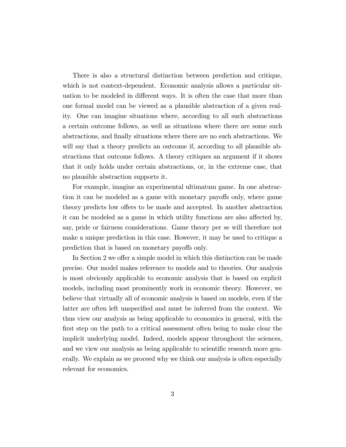There is also a structural distinction between prediction and critique, which is not context-dependent. Economic analysis allows a particular situation to be modeled in different ways. It is often the case that more than one formal model can be viewed as a plausible abstraction of a given reality. One can imagine situations where, according to all such abstractions a certain outcome follows, as well as situations where there are some such abstractions, and Önally situations where there are no such abstractions. We will say that a theory predicts an outcome if, according to all plausible abstractions that outcome follows. A theory critiques an argument if it shows that it only holds under certain abstractions, or, in the extreme case, that no plausible abstraction supports it.

For example, imagine an experimental ultimatum game. In one abstraction it can be modeled as a game with monetary payoffs only, where game theory predicts low offers to be made and accepted. In another abstraction it can be modeled as a game in which utility functions are also affected by, say, pride or fairness considerations. Game theory per se will therefore not make a unique prediction in this case. However, it may be used to critique a prediction that is based on monetary payoffs only.

In Section 2 we offer a simple model in which this distinction can be made precise. Our model makes reference to models and to theories. Our analysis is most obviously applicable to economic analysis that is based on explicit models, including most prominently work in economic theory. However, we believe that virtually all of economic analysis is based on models, even if the latter are often left unspecified and must be inferred from the context. We thus view our analysis as being applicable to economics in general, with the first step on the path to a critical assessment often being to make clear the implicit underlying model. Indeed, models appear throughout the sciences, and we view our analysis as being applicable to scientific research more generally. We explain as we proceed why we think our analysis is often especially relevant for economics.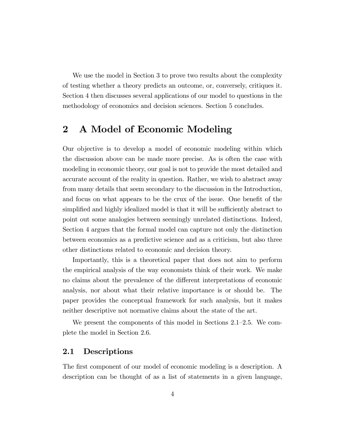We use the model in Section 3 to prove two results about the complexity of testing whether a theory predicts an outcome, or, conversely, critiques it. Section 4 then discusses several applications of our model to questions in the methodology of economics and decision sciences. Section 5 concludes.

## 2 A Model of Economic Modeling

Our objective is to develop a model of economic modeling within which the discussion above can be made more precise. As is often the case with modeling in economic theory, our goal is not to provide the most detailed and accurate account of the reality in question. Rather, we wish to abstract away from many details that seem secondary to the discussion in the Introduction, and focus on what appears to be the crux of the issue. One benefit of the simplified and highly idealized model is that it will be sufficiently abstract to point out some analogies between seemingly unrelated distinctions. Indeed, Section 4 argues that the formal model can capture not only the distinction between economics as a predictive science and as a criticism, but also three other distinctions related to economic and decision theory.

Importantly, this is a theoretical paper that does not aim to perform the empirical analysis of the way economists think of their work. We make no claims about the prevalence of the different interpretations of economic analysis, nor about what their relative importance is or should be. The paper provides the conceptual framework for such analysis, but it makes neither descriptive not normative claims about the state of the art.

We present the components of this model in Sections  $2.1-2.5$ . We complete the model in Section 2.6.

### 2.1 Descriptions

The first component of our model of economic modeling is a description. A description can be thought of as a list of statements in a given language,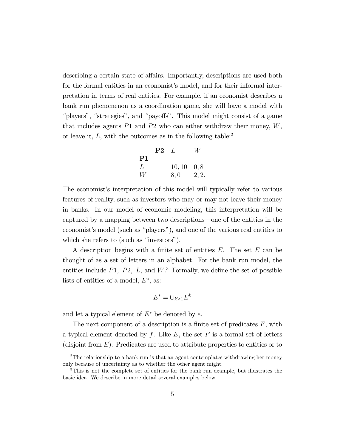describing a certain state of affairs. Importantly, descriptions are used both for the formal entities in an economist's model, and for their informal interpretation in terms of real entities. For example, if an economist describes a bank run phenomenon as a coordination game, she will have a model with ìplayersî, ìstrategiesî, and ìpayo§sî. This model might consist of a game that includes agents  $P1$  and  $P2$  who can either withdraw their money,  $W$ , or leave it,  $L$ , with the outcomes as in the following table:<sup>2</sup>

| P2 | L        | W      |
|----|----------|--------|
| P1 | $10, 10$ | $0, 8$ |
| W  | $8, 0$   | $2, 2$ |

The economist's interpretation of this model will typically refer to various features of reality, such as investors who may or may not leave their money in banks. In our model of economic modeling, this interpretation will be captured by a mapping between two descriptions—one of the entities in the economist's model (such as "players"), and one of the various real entities to which she refers to (such as "investors").

A description begins with a finite set of entities  $E$ . The set  $E$  can be thought of as a set of letters in an alphabet. For the bank run model, the entities include  $P1$ ,  $P2$ ,  $L$ , and  $W$ <sup>3</sup>. Formally, we define the set of possible lists of entities of a model,  $E^*$ , as:

$$
E^* = \cup_{k \ge 1} E^k
$$

and let a typical element of  $E^*$  be denoted by e.

The next component of a description is a finite set of predicates  $F$ , with a typical element denoted by f. Like E, the set F is a formal set of letters (disjoint from  $E$ ). Predicates are used to attribute properties to entities or to

<sup>&</sup>lt;sup>2</sup>The relationship to a bank run is that an agent contemplates withdrawing her money only because of uncertainty as to whether the other agent might.

<sup>3</sup>This is not the complete set of entities for the bank run example, but illustrates the basic idea. We describe in more detail several examples below.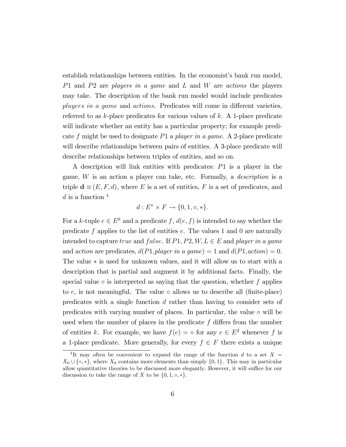establish relationships between entities. In the economist's bank run model, P1 and P2 are players in a game and L and W are actions the players may take. The description of the bank run model would include predicates players in a game and actions. Predicates will come in different varieties, referred to as  $k$ -place predicates for various values of  $k$ . A 1-place predicate will indicate whether an entity has a particular property; for example predicate f might be used to designate P1 a player in a game. A 2-place predicate will describe relationships between pairs of entities. A 3-place predicate will describe relationships between triples of entities, and so on.

A description will link entities with predicates: P1 is a player in the game, W is an action a player can take, etc. Formally, a description is a triple  $\mathbf{d} \equiv (E, F, d)$ , where E is a set of entities, F is a set of predicates, and d is a function  $4$ 

$$
d: E^* \times F \to \{0, 1, \circ, *\}.
$$

For a k-tuple  $e \in E^k$  and a predicate  $f, d(e, f)$  is intended to say whether the predicate f applies to the list of entities  $e$ . The values 1 and 0 are naturally intended to capture true and false. If  $P1, P2, W, L \in E$  and player in a game and action are predicates,  $d(P1, player\ in\ a\ game) = 1$  and  $d(P1,action) = 0$ . The value  $*$  is used for unknown values, and it will allow us to start with a description that is partial and augment it by additional facts. Finally, the special value  $\circ$  is interpreted as saying that the question, whether f applies to  $e$ , is not meaningful. The value  $\circ$  allows us to describe all (finite-place) predicates with a single function d rather than having to consider sets of predicates with varying number of places. In particular, the value  $\circ$  will be used when the number of places in the predicate  $f$  differs from the number of entities k. For example, we have  $f(e) = \circ$  for any  $e \in E^2$  whenever f is a 1-place predicate. More generally, for every  $f \in F$  there exists a unique

<sup>&</sup>lt;sup>4</sup>It may often be convenient to expand the range of the function d to a set  $X =$  $X_0 \cup \{\infty, *\}$ , where  $X_0$  contains more elements than simply  $\{0, 1\}$ . This may in particular allow quantitative theories to be discussed more elegantly. However, it will suffice for our discussion to take the range of X to be  $\{0, 1, \circ, *\}.$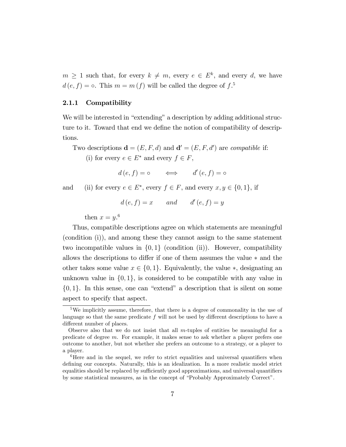$m \geq 1$  such that, for every  $k \neq m$ , every  $e \in E^k$ , and every d, we have  $d(e, f) = \circ$ . This  $m = m(f)$  will be called the degree of  $f$ .<sup>5</sup>

#### 2.1.1 Compatibility

We will be interested in "extending" a description by adding additional structure to it. Toward that end we define the notion of compatibility of descriptions.

Two descriptions  $\mathbf{d} = (E, F, d)$  and  $\mathbf{d}' = (E, F, d')$  are *compatible* if:

(i) for every  $e \in E^*$  and every  $f \in F$ ,

 $d(e, f) = \circ \iff d'(e, f) = \circ$ 

and (ii) for every  $e \in E^*$ , every  $f \in F$ , and every  $x, y \in \{0, 1\}$ , if

 $d(e, f) = x$  and  $d'(e, f) = y$ 

then  $x = y$ .<sup>6</sup>

Thus, compatible descriptions agree on which statements are meaningful (condition (i)), and among these they cannot assign to the same statement two incompatible values in  $\{0,1\}$  (condition (ii)). However, compatibility allows the descriptions to differ if one of them assumes the value  $*$  and the other takes some value  $x \in \{0, 1\}$ . Equivalently, the value  $\ast$ , designating an unknown value in  $\{0,1\}$ , is considered to be compatible with any value in  $\{0,1\}$ . In this sense, one can "extend" a description that is silent on some aspect to specify that aspect.

<sup>5</sup>We implicitly assume, therefore, that there is a degree of commonality in the use of language so that the same predicate  $f$  will not be used by different descriptions to have a different number of places.

Observe also that we do not insist that all m-tuples of entities be meaningful for a predicate of degree m. For example, it makes sense to ask whether a player prefers one outcome to another, but not whether she prefers an outcome to a strategy, or a player to a player.

 ${}^{6}$ Here and in the sequel, we refer to strict equalities and universal quantifiers when defining our concepts. Naturally, this is an idealization. In a more realistic model strict equalities should be replaced by sufficiently good approximations, and universal quantifiers by some statistical measures, as in the concept of "Probably Approximately Correct".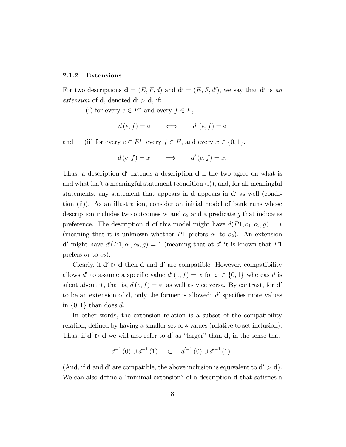#### 2.1.2 Extensions

For two descriptions  $\mathbf{d} = (E, F, d)$  and  $\mathbf{d}' = (E, F, d')$ , we say that  $\mathbf{d}'$  is an *extension* of **d**, denoted  $d' \triangleright d$ , if:

(i) for every  $e \in E^*$  and every  $f \in F$ ,

$$
d(e, f) = \circ \iff d'(e, f) = \circ
$$

and (ii) for every  $e \in E^*$ , every  $f \in F$ , and every  $x \in \{0, 1\}$ ,

$$
d(e, f) = x \implies d'(e, f) = x.
$$

Thus, a description **d'** extends a description **d** if the two agree on what is and what isn't a meaningful statement (condition  $(i)$ ), and, for all meaningful statements, any statement that appears in  $\bf d$  appears in  $\bf d'$  as well (condition (ii)). As an illustration, consider an initial model of bank runs whose description includes two outcomes  $o_1$  and  $o_2$  and a predicate g that indicates preference. The description **d** of this model might have  $d(P1, o_1, o_2, g) = *$ (meaning that it is unknown whether  $P1$  prefers  $o_1$  to  $o_2$ ). An extension **d'** might have  $d'(P1, o_1, o_2, g) = 1$  (meaning that at d' it is known that P1 prefers  $o_1$  to  $o_2$ ).

Clearly, if  $\mathbf{d}' \triangleright \mathbf{d}$  then  $\mathbf{d}$  and  $\mathbf{d}'$  are compatible. However, compatibility allows d' to assume a specific value  $d'(e, f) = x$  for  $x \in \{0, 1\}$  whereas d is silent about it, that is,  $d(e, f) = *$ , as well as vice versa. By contrast, for **d'** to be an extension of  $\mathbf d$ , only the former is allowed:  $d'$  specifies more values in  $\{0,1\}$  than does d.

In other words, the extension relation is a subset of the compatibility relation, defined by having a smaller set of  $*$  values (relative to set inclusion). Thus, if  $d' \triangleright d$  we will also refer to  $d'$  as "larger" than  $d$ , in the sense that

$$
d^{-1}(0) \cup d^{-1}(1) \quad \subset \quad d'^{-1}(0) \cup d'^{-1}(1).
$$

(And, if **d** and **d'** are compatible, the above inclusion is equivalent to  $d' \triangleright d$ ). We can also define a "minimal extension" of a description  $\bf d$  that satisfies a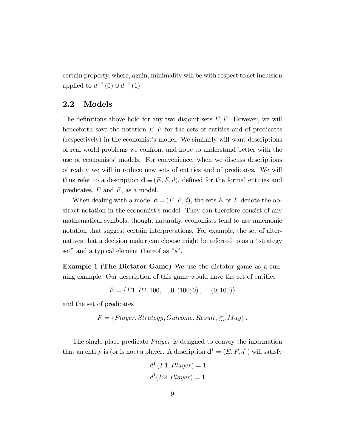certain property, where, again, minimality will be with respect to set inclusion applied to  $d^{-1}(0) \cup d^{-1}(1)$ .

#### 2.2 Models

The definitions above hold for any two disjoint sets  $E, F$ . However, we will henceforth save the notation  $E, F$  for the sets of entities and of predicates (respectively) in the economistís model. We similarly will want descriptions of real world problems we confront and hope to understand better with the use of economists' models. For convenience, when we discuss descriptions of reality we will introduce new sets of entities and of predicates. We will thus refer to a description  $\mathbf{d} \equiv (E, F, d)$ , defined for the formal entities and predicates,  $E$  and  $F$ , as a model.

When dealing with a model  $\mathbf{d} = (E, F, d)$ , the sets E or F denote the abstract notation in the economist's model. They can therefore consist of any mathematical symbols, though, naturally, economists tend to use mnemonic notation that suggest certain interpretations. For example, the set of alternatives that a decision maker can choose might be referred to as a "strategy set" and a typical element thereof as " $s$ ".

Example 1 (The Dictator Game) We use the dictator game as a running example. Our description of this game would have the set of entities

$$
E = \{P1, P2, 100, ..., 0, (100, 0), ..., (0, 100)\}
$$

and the set of predicates

$$
F = \{Player, Strategy, Outcome, Result, \succeq, May\}.
$$

The single-place predicate Player is designed to convey the information that an entity is (or is not) a player. A description  $\mathbf{d}^1 = (E, F, d^1)$  will satisfy

$$
d^{1}(P1, Player) = 1
$$

$$
d^{1}(P2, Player) = 1
$$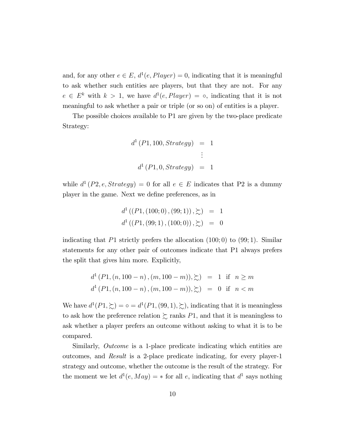and, for any other  $e \in E$ ,  $d^1(e, Player) = 0$ , indicating that it is meaningful to ask whether such entities are players, but that they are not. For any  $e \in E^k$  with  $k > 1$ , we have  $d^1(e, Player) = \circ$ , indicating that it is not meaningful to ask whether a pair or triple (or so on) of entities is a player.

The possible choices available to P1 are given by the two-place predicate Strategy:

$$
d^{1}(P1, 100, Strategy) = 1
$$
  

$$
\vdots
$$
  

$$
d^{1}(P1, 0, Strategy) = 1
$$

while  $d^{1}(P2, e, Strategy) = 0$  for all  $e \in E$  indicates that P2 is a dummy player in the game. Next we define preferences, as in

$$
d^{1}((P1, (100; 0), (99; 1)), \succsim) = 1
$$
  

$$
d^{1}((P1, (99; 1), (100; 0)), \succsim) = 0
$$

indicating that P1 strictly prefers the allocation  $(100; 0)$  to  $(99; 1)$ . Similar statements for any other pair of outcomes indicate that P1 always prefers the split that gives him more. Explicitly,

$$
d^{1}(P1,(n,100-n), (m,100-m)), \gtrsim) = 1 \text{ if } n \ge m
$$
  

$$
d^{1}(P1,(n,100-n), (m,100-m)), \gtrsim) = 0 \text{ if } n < m
$$

We have  $d^1(P1, \geq) = \circ = d^1(P1, (99, 1), \geq)$ , indicating that it is meaningless to ask how the preference relation  $\succsim$  ranks P1, and that it is meaningless to ask whether a player prefers an outcome without asking to what it is to be compared.

Similarly, *Outcome* is a 1-place predicate indicating which entities are outcomes, and Result is a 2-place predicate indicating, for every player-1 strategy and outcome, whether the outcome is the result of the strategy. For the moment we let  $d^1(e, May) = *$  for all e, indicating that  $d^1$  says nothing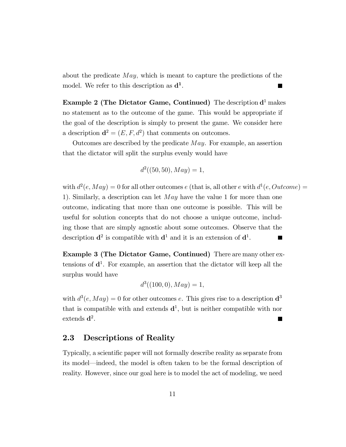about the predicate  $May$ , which is meant to capture the predictions of the model. We refer to this description as  $\mathbf{d}^1$ .

**Example 2 (The Dictator Game, Continued)** The description  $\mathbf{d}^1$  makes no statement as to the outcome of the game. This would be appropriate if the goal of the description is simply to present the game. We consider here a description  $\mathbf{d}^2 = (E, F, d^2)$  that comments on outcomes.

Outcomes are described by the predicate  $May.$  For example, an assertion that the dictator will split the surplus evenly would have

$$
d^2((50, 50), May) = 1,
$$

with  $d^2(e, May) = 0$  for all other outcomes e (that is, all other e with  $d^1(e, Outcome) =$ 1). Similarly, a description can let  $May$  have the value 1 for more than one outcome, indicating that more than one outcome is possible. This will be useful for solution concepts that do not choose a unique outcome, including those that are simply agnostic about some outcomes. Observe that the description  $\mathbf{d}^2$  is compatible with  $\mathbf{d}^1$  and it is an extension of  $\mathbf{d}^1$ .  $\blacksquare$ 

Example 3 (The Dictator Game, Continued) There are many other extensions of  $\mathbf{d}^1$ . For example, an assertion that the dictator will keep all the surplus would have

$$
d^3((100,0), May) = 1,
$$

with  $d^3(e, May) = 0$  for other outcomes e. This gives rise to a description  $\mathbf{d}^3$ that is compatible with and extends  $\mathbf{d}^1$ , but is neither compatible with nor  $extends d^2$ .

## 2.3 Descriptions of Reality

Typically, a scientific paper will not formally describe reality as separate from its model—indeed, the model is often taken to be the formal description of reality. However, since our goal here is to model the act of modeling, we need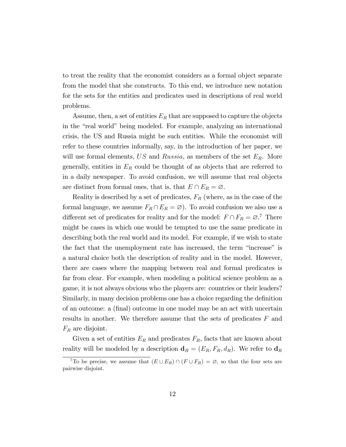to treat the reality that the economist considers as a formal object separate from the model that she constructs. To this end, we introduce new notation for the sets for the entities and predicates used in descriptions of real world problems.

Assume, then, a set of entities  $E_R$  that are supposed to capture the objects in the "real world" being modeled. For example, analyzing an international crisis, the US and Russia might be such entities. While the economist will refer to these countries informally, say, in the introduction of her paper, we will use formal elements, US and Russia, as members of the set  $E_R$ . More generally, entities in  $E_R$  could be thought of as objects that are referred to in a daily newspaper. To avoid confusion, we will assume that real objects are distinct from formal ones, that is, that  $E \cap E_R = \emptyset$ .

Reality is described by a set of predicates,  $F_R$  (where, as in the case of the formal language, we assume  $F_R \cap E_R = \emptyset$ . To avoid confusion we also use a different set of predicates for reality and for the model:  $F \cap F_R = \emptyset$ <sup>7</sup>. There might be cases in which one would be tempted to use the same predicate in describing both the real world and its model. For example, if we wish to state the fact that the unemployment rate has increased, the term "increase" is a natural choice both the description of reality and in the model. However, there are cases where the mapping between real and formal predicates is far from clear. For example, when modeling a political science problem as a game, it is not always obvious who the players are: countries or their leaders? Similarly, in many decision problems one has a choice regarding the definition of an outcome: a (Önal) outcome in one model may be an act with uncertain results in another. We therefore assume that the sets of predicates  $F$  and  $F_R$  are disjoint.

Given a set of entities  $E_R$  and predicates  $F_R$ , facts that are known about reality will be modeled by a description  $\mathbf{d}_R = (E_R, F_R, d_R)$ . We refer to  $\mathbf{d}_R$ 

<sup>&</sup>lt;sup>7</sup>To be precise, we assume that  $(E \cup E_R) \cap (F \cup F_R) = \emptyset$ , so that the four sets are pairwise disjoint.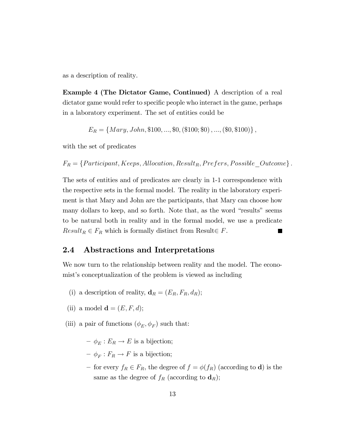as a description of reality.

Example 4 (The Dictator Game, Continued) A description of a real dictator game would refer to specific people who interact in the game, perhaps in a laboratory experiment. The set of entities could be

$$
E_R = \{Mary, John, \$100, ..., \$0, ($100; \$0), ..., ($0, \$100) \},
$$

with the set of predicates

 $F_R = \{Participant, Keeps, Allocation, Result_R, Prefers, Possible\_Outcome\} \, .$ 

The sets of entities and of predicates are clearly in 1-1 correspondence with the respective sets in the formal model. The reality in the laboratory experiment is that Mary and John are the participants, that Mary can choose how many dollars to keep, and so forth. Note that, as the word "results" seems to be natural both in reality and in the formal model, we use a predicate  $Result_R \in F_R$  which is formally distinct from Result $\in F$ .

### 2.4 Abstractions and Interpretations

We now turn to the relationship between reality and the model. The economist's conceptualization of the problem is viewed as including

- (i) a description of reality,  $\mathbf{d}_R = (E_R, F_R, d_R);$
- (ii) a model  $\mathbf{d} = (E, F, d);$
- (iii) a pair of functions  $(\phi_E, \phi_F)$  such that:
	- $-\phi_E : E_R \to E$  is a bijection;
	- $\phi_F : F_R \to F$  is a bijection;
	- for every  $f_R \in F_R$ , the degree of  $f = \phi(f_R)$  (according to **d**) is the same as the degree of  $f_R$  (according to  $\mathbf{d}_R$ );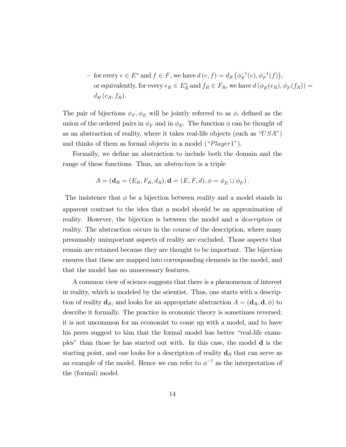- for every  $e \in E^*$  and  $f \in F$ , we have  $d(e, f) = d_R(\phi_E^{-1}(e), \phi_F^{-1}(f)),$ or equivalently, for every  $e_R \in E_R^*$  and  $f_R \in F_R$ , we have  $d(\phi_E(e_R), \phi_F(f_R)) =$  $d_R(e_R, f_R)$ .

The pair of bijections  $\phi_F$ ,  $\phi_E$  will be jointly referred to as  $\phi$ , defined as the union of the ordered pairs in  $\phi_F$  and in  $\phi_E$ . The function  $\phi$  can be thought of as an abstraction of reality, where it takes real-life objects (such as  $"USA"$ ) and thinks of them as formal objects in a model  $("Player1").$ 

Formally, we define an abstraction to include both the domain and the range of these functions. Thus, an abstraction is a triple

$$
A = (\mathbf{d}_R = (E_R, F_R, d_R), \mathbf{d} = (E, F, d), \phi = \phi_E \cup \phi_F).
$$

The insistence that  $\phi$  be a bijection between reality and a model stands in apparent contrast to the idea that a model should be an approximation of reality. However, the bijection is between the model and a *description* or reality. The abstraction occurs in the course of the description, where many presumably unimportant aspects of reality are excluded. Those aspects that remain are retained because they are thought to be important. The bijection ensures that these are mapped into corresponding elements in the model, and that the model has no unnecessary features.

A common view of science suggests that there is a phenomenon of interest in reality, which is modeled by the scientist. Thus, one starts with a description of reality  $\mathbf{d}_R$ , and looks for an appropriate abstraction  $A = (\mathbf{d}_R, \mathbf{d}, \phi)$  to describe it formally. The practice in economic theory is sometimes reversed: it is not uncommon for an economist to come up with a model, and to have his peers suggest to him that the formal model has better "real-life examplesî than those he has started out with. In this case, the model d is the starting point, and one looks for a description of reality  $\mathbf{d}_R$  that can serve as an example of the model. Hence we can refer to  $\phi^{-1}$  as the interpretation of the (formal) model.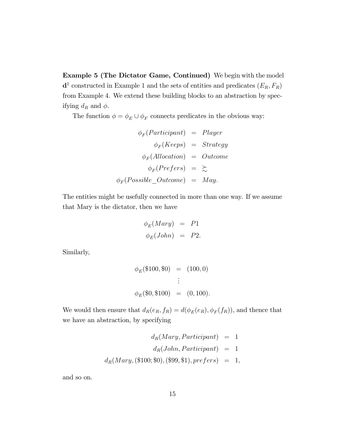Example 5 (The Dictator Game, Continued) We begin with the model  $\mathbf{d}^1$  constructed in Example 1 and the sets of entities and predicates  $(E_R, F_R)$ from Example 4. We extend these building blocks to an abstraction by specifying  $d_R$  and  $\phi$ .

The function  $\phi = \phi_E \cup \phi_F$  connects predicates in the obvious way:

$$
\begin{array}{rcl}\n\phi_F(Participant) & = & Player \\
\phi_F(Keeps) & = & Strategy \\
\phi_F(Ailocation) & = & Outcome \\
\phi_F(Prefers) & = & \gtrsim \\
\phi_F(Possible\_Outcome) & = & May.\n\end{array}
$$

The entities might be usefully connected in more than one way. If we assume that Mary is the dictator, then we have

$$
\begin{aligned}\n\phi_E(Mary) &= P1\\ \n\phi_E(John) &= P2.\n\end{aligned}
$$

Similarly,

$$
\begin{aligned}\n\phi_E(\$100, \$0) &= (100, 0) \\
&\vdots \\
\phi_E(\$0, \$100) &= (0, 100).\n\end{aligned}
$$

We would then ensure that  $d_R(e_R, f_R) = d(\phi_E(e_R), \phi_F(f_R))$ , and thence that we have an abstraction, by specifying

$$
d_R(Mary, Participant) = 1
$$
  

$$
d_R(John, Participant) = 1
$$
  

$$
d_R(Mary, (\text{$100; $0), ($99, $1), prefers) = 1,
$$

and so on.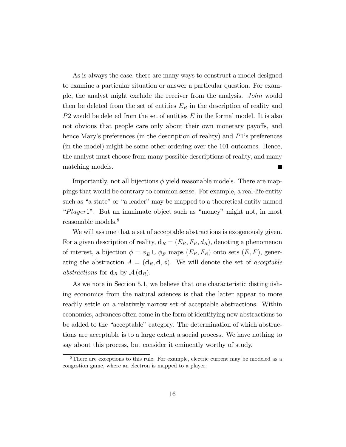As is always the case, there are many ways to construct a model designed to examine a particular situation or answer a particular question. For example, the analyst might exclude the receiver from the analysis. John would then be deleted from the set of entities  $E_R$  in the description of reality and  $P2$  would be deleted from the set of entities  $E$  in the formal model. It is also not obvious that people care only about their own monetary payoffs, and hence Mary's preferences (in the description of reality) and  $P1$ 's preferences (in the model) might be some other ordering over the 101 outcomes. Hence, the analyst must choose from many possible descriptions of reality, and many matching models.

Importantly, not all bijections  $\phi$  yield reasonable models. There are mappings that would be contrary to common sense. For example, a real-life entity such as "a state" or "a leader" may be mapped to a theoretical entity named  $Player1$ . But an inanimate object such as "money" might not, in most reasonable models.<sup>8</sup>

We will assume that a set of acceptable abstractions is exogenously given. For a given description of reality,  $\mathbf{d}_R = (E_R, F_R, d_R)$ , denoting a phenomenon of interest, a bijection  $\phi = \phi_E \cup \phi_F$  maps  $(E_R, F_R)$  onto sets  $(E, F)$ , generating the abstraction  $A = (\mathbf{d}_R, \mathbf{d}, \phi)$ . We will denote the set of acceptable *abstractions* for  $\mathbf{d}_R$  by  $\mathcal{A}(\mathbf{d}_R)$ .

As we note in Section 5.1, we believe that one characteristic distinguishing economics from the natural sciences is that the latter appear to more readily settle on a relatively narrow set of acceptable abstractions. Within economics, advances often come in the form of identifying new abstractions to be added to the "acceptable" category. The determination of which abstractions are acceptable is to a large extent a social process. We have nothing to say about this process, but consider it eminently worthy of study.

<sup>8</sup>There are exceptions to this rule. For example, electric current may be modeled as a congestion game, where an electron is mapped to a player.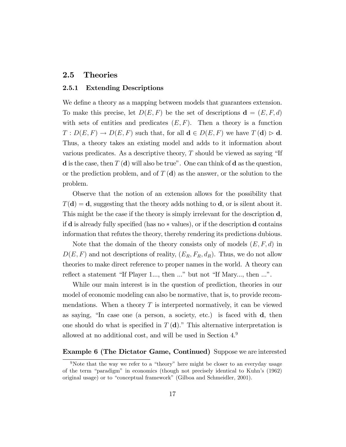#### 2.5 Theories

#### 2.5.1 Extending Descriptions

We define a theory as a mapping between models that guarantees extension. To make this precise, let  $D(E, F)$  be the set of descriptions  $\mathbf{d} = (E, F, d)$ with sets of entities and predicates  $(E, F)$ . Then a theory is a function  $T: D(E, F) \to D(E, F)$  such that, for all  $\mathbf{d} \in D(E, F)$  we have  $T(\mathbf{d}) > \mathbf{d}$ . Thus, a theory takes an existing model and adds to it information about various predicates. As a descriptive theory,  $T$  should be viewed as saying "If **d** is the case, then  $T(d)$  will also be true". One can think of **d** as the question, or the prediction problem, and of  $T(\mathbf{d})$  as the answer, or the solution to the problem.

Observe that the notion of an extension allows for the possibility that  $T(\mathbf{d}) = \mathbf{d}$ , suggesting that the theory adds nothing to  $\mathbf{d}$ , or is silent about it. This might be the case if the theory is simply irrelevant for the description d, if  $\bf d$  is already fully specified (has no  $*$  values), or if the description  $\bf d$  contains information that refutes the theory, thereby rendering its predictions dubious.

Note that the domain of the theory consists only of models  $(E, F, d)$  in  $D(E, F)$  and not descriptions of reality,  $(E_R, F_R, d_R)$ . Thus, we do not allow theories to make direct reference to proper names in the world. A theory can reflect a statement "If Player 1..., then  $\ldots$ " but not "If Mary..., then  $\ldots$ ".

While our main interest is in the question of prediction, theories in our model of economic modeling can also be normative, that is, to provide recommendations. When a theory  $T$  is interpreted normatively, it can be viewed as saying, "In case one (a person, a society, etc.) is faced with  $\mathbf{d}$ , then one should do what is specified in  $T(\mathbf{d})$ ." This alternative interpretation is allowed at no additional cost, and will be used in Section 4.<sup>9</sup>

#### Example 6 (The Dictator Game, Continued) Suppose we are interested

<sup>&</sup>lt;sup>9</sup>Note that the way we refer to a "theory" here might be closer to an everyday usage of the term "paradigm" in economics (though not precisely identical to Kuhn's  $(1962)$ ) original usage) or to "conceptual framework" (Gilboa and Schmeidler, 2001).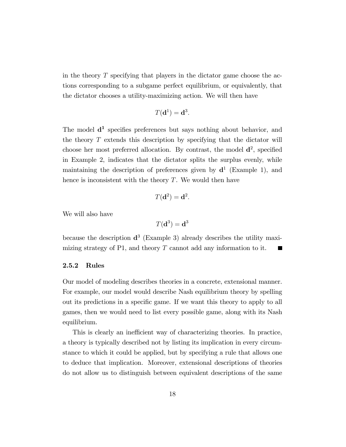in the theory  $T$  specifying that players in the dictator game choose the actions corresponding to a subgame perfect equilibrium, or equivalently, that the dictator chooses a utility-maximizing action. We will then have

$$
T(\mathbf{d}^1) = \mathbf{d}^3
$$

:

The model  $\mathbf{d}^1$  specifies preferences but says nothing about behavior, and the theory  $T$  extends this description by specifying that the dictator will choose her most preferred allocation. By contrast, the model  $\mathbf{d}^2$ , specified in Example 2, indicates that the dictator splits the surplus evenly, while maintaining the description of preferences given by  $\mathbf{d}^1$  (Example 1), and hence is inconsistent with the theory  $T$ . We would then have

$$
T(\mathbf{d}^2) = \mathbf{d}^2.
$$

We will also have

$$
T(\mathbf{d}^3) = \mathbf{d}^3
$$

because the description  $\mathbf{d}^3$  (Example 3) already describes the utility maximizing strategy of P1, and theory  $T$  cannot add any information to it. **College** 

#### 2.5.2 Rules

Our model of modeling describes theories in a concrete, extensional manner. For example, our model would describe Nash equilibrium theory by spelling out its predictions in a specific game. If we want this theory to apply to all games, then we would need to list every possible game, along with its Nash equilibrium.

This is clearly an inefficient way of characterizing theories. In practice, a theory is typically described not by listing its implication in every circumstance to which it could be applied, but by specifying a rule that allows one to deduce that implication. Moreover, extensional descriptions of theories do not allow us to distinguish between equivalent descriptions of the same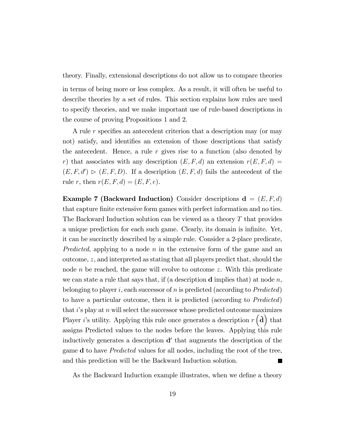theory. Finally, extensional descriptions do not allow us to compare theories

in terms of being more or less complex. As a result, it will often be useful to describe theories by a set of rules. This section explains how rules are used to specify theories, and we make important use of rule-based descriptions in the course of proving Propositions 1 and 2.

A rule r specifies an antecedent criterion that a description may (or may not) satisfy, and identifies an extension of those descriptions that satisfy the antecedent. Hence, a rule  $r$  gives rise to a function (also denoted by r) that associates with any description  $(E, F, d)$  an extension  $r(E, F, d)$  =  $(E, F, d') \triangleright (E, F, D)$ . If a description  $(E, F, d)$  fails the antecedent of the rule r, then  $r(E, F, d) = (E, F, e)$ .

**Example 7 (Backward Induction)** Consider descriptions  $\mathbf{d} = (E, F, d)$ that capture finite extensive form games with perfect information and no ties. The Backward Induction solution can be viewed as a theory T that provides a unique prediction for each such game. Clearly, its domain is inÖnite. Yet, it can be succinctly described by a simple rule. Consider a 2-place predicate, *Predicted*, applying to a node  $n$  in the extensive form of the game and an outcome, z, and interpreted as stating that all players predict that, should the node  $n$  be reached, the game will evolve to outcome  $z$ . With this predicate we can state a rule that says that, if (a description **d** implies that) at node n, belonging to player i, each successor of n is predicted (according to  $Predicted$ ) to have a particular outcome, then it is predicted (according to Predicted) that  $i$ 's play at  $n$  will select the successor whose predicted outcome maximizes Player *i*'s utility. Applying this rule once generates a description  $r(\hat{d})$  that assigns Predicted values to the nodes before the leaves. Applying this rule inductively generates a description  $\mathbf{d}'$  that augments the description of the game d to have Predicted values for all nodes, including the root of the tree, and this prediction will be the Backward Induction solution.

As the Backward Induction example illustrates, when we define a theory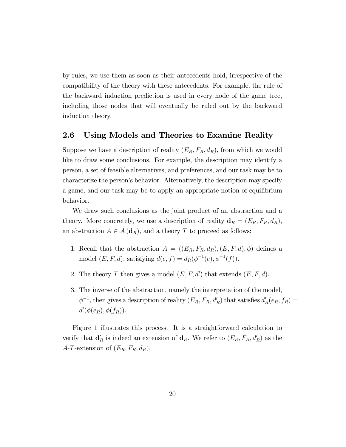by rules, we use them as soon as their antecedents hold, irrespective of the compatibility of the theory with these antecedents. For example, the rule of the backward induction prediction is used in every node of the game tree, including those nodes that will eventually be ruled out by the backward induction theory.

#### 2.6 Using Models and Theories to Examine Reality

Suppose we have a description of reality  $(E_R, F_R, d_R)$ , from which we would like to draw some conclusions. For example, the description may identify a person, a set of feasible alternatives, and preferences, and our task may be to characterize the personís behavior. Alternatively, the description may specify a game, and our task may be to apply an appropriate notion of equilibrium behavior.

We draw such conclusions as the joint product of an abstraction and a theory. More concretely, we use a description of reality  $\mathbf{d}_R = (E_R, F_R, d_R)$ , an abstraction  $A \in \mathcal{A}(\mathbf{d}_R)$ , and a theory T to proceed as follows:

- 1. Recall that the abstraction  $A = ((E_R, F_R, d_R), (E, F, d), \phi)$  defines a model  $(E, F, d)$ , satisfying  $d(e, f) = d_R(\phi^{-1}(e), \phi^{-1}(f))$ .
- 2. The theory T then gives a model  $(E, F, d')$  that extends  $(E, F, d)$ .
- 3. The inverse of the abstraction, namely the interpretation of the model,  $\phi^{-1}$ , then gives a description of reality  $(E_R, F_R, d'_R)$  that satisfies  $d'_R(e_R, f_R) =$  $d'(\phi(e_R),\phi(f_R)).$

Figure 1 illustrates this process. It is a straightforward calculation to verify that  $\mathbf{d}'_R$  is indeed an extension of  $\mathbf{d}_R$ . We refer to  $(E_R, F_R, d'_R)$  as the A-T-extension of  $(E_R, F_R, d_R)$ .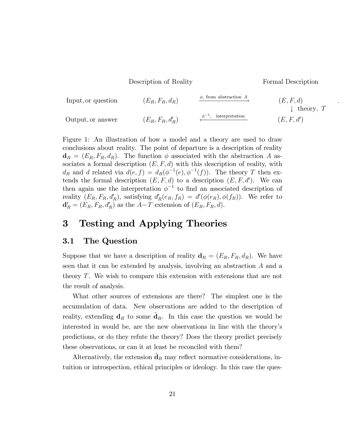Description of Reality Formal Description

:

Input, or question 
$$
(E_R, F_R, d_R)
$$
  $\xrightarrow{\phi, \text{ from abstraction } A}$   $(E, F, d)$   
\nOutput, or answer  $(E_R, F_R, d'_R)$   $\xrightarrow{\phi^{-1}, \text{ interpretation}}$   $(E, F, d')$   $(E, F, d')$ 

Figure 1: An illustration of how a model and a theory are used to draw conclusions about reality. The point of departure is a description of reality  $\mathbf{d}_R = (E_R, F_R, d_R)$ . The function  $\phi$  associated with the abstraction A associates a formal description  $(E, F, d)$  with this description of reality, with  $d_R$  and d related via  $d(e, f) = d_R(\phi^{-1}(e), \phi^{-1}(f))$ . The theory T then extends the formal description  $(E, F, d)$  to a description  $(E, F, d')$ . We can then again use the interpretation  $\phi^{-1}$  to find an associated description of reality  $(E_R, F_R, d'_R)$ , satisfying  $d'_R(e_R, f_R) = d'(\phi(e_R), \phi(f_R))$ . We refer to  $\mathbf{d}'_R = (E_R, F_R, d'_R)$  as the  $A-T$  extension of  $(E_R, F_R, d)$ .

## 3 Testing and Applying Theories

#### 3.1 The Question

Suppose that we have a description of reality  $\mathbf{d}_R = (E_R, F_R, d_R)$ . We have seen that it can be extended by analysis, involving an abstraction A and a theory T. We wish to compare this extension with extensions that are not the result of analysis.

What other sources of extensions are there? The simplest one is the accumulation of data. New observations are added to the description of reality, extending  $\mathbf{d}_R$  to some  $\hat{\mathbf{d}}_R$ . In this case the question we would be interested in would be, are the new observations in line with the theoryís predictions, or do they refute the theory? Does the theory predict precisely these observations, or can it at least be reconciled with them?

Alternatively, the extension  $\hat{\mathbf{d}}_R$  may reflect normative considerations, intuition or introspection, ethical principles or ideology. In this case the ques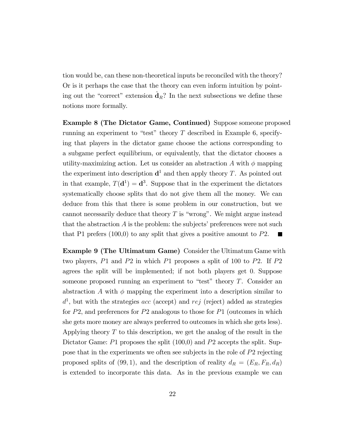tion would be, can these non-theoretical inputs be reconciled with the theory? Or is it perhaps the case that the theory can even inform intuition by pointing out the "correct" extension  $\hat{\mathbf{d}}_R$ ? In the next subsections we define these notions more formally.

Example 8 (The Dictator Game, Continued) Suppose someone proposed running an experiment to "test" theory  $T$  described in Example 6, specifying that players in the dictator game choose the actions corresponding to a subgame perfect equilibrium, or equivalently, that the dictator chooses a utility-maximizing action. Let us consider an abstraction A with  $\phi$  mapping the experiment into description  $\mathbf{d}^1$  and then apply theory T. As pointed out in that example,  $T(\mathbf{d}^1) = \mathbf{d}^3$ . Suppose that in the experiment the dictators systematically choose splits that do not give them all the money. We can deduce from this that there is some problem in our construction, but we cannot necessarily deduce that theory  $T$  is "wrong". We might argue instead that the abstraction  $A$  is the problem: the subjects' preferences were not such that P1 prefers  $(100,0)$  to any split that gives a positive amount to P2.

Example 9 (The Ultimatum Game) Consider the Ultimatum Game with two players, P1 and P2 in which P1 proposes a split of 100 to P2. If P2 agrees the split will be implemented; if not both players get 0: Suppose someone proposed running an experiment to "test" theory  $T$ . Consider an abstraction A with  $\phi$  mapping the experiment into a description similar to  $d<sup>1</sup>$ , but with the strategies acc (accept) and rej (reject) added as strategies for P2, and preferences for P2 analogous to those for P1 (outcomes in which she gets more money are always preferred to outcomes in which she gets less). Applying theory  $T$  to this description, we get the analog of the result in the Dictator Game: P1 proposes the split (100,0) and P2 accepts the split. Suppose that in the experiments we often see subjects in the role of P2 rejecting proposed splits of (99, 1), and the description of reality  $d_R = (E_R, F_R, d_R)$ is extended to incorporate this data. As in the previous example we can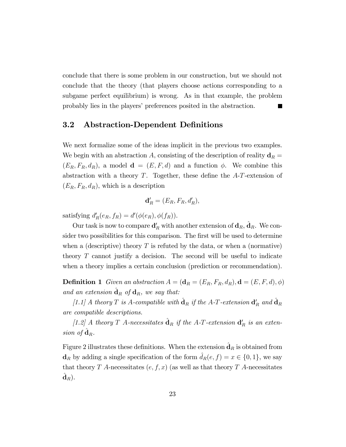conclude that there is some problem in our construction, but we should not conclude that the theory (that players choose actions corresponding to a subgame perfect equilibrium) is wrong. As in that example, the problem probably lies in the players' preferences posited in the abstraction.  $\blacksquare$ 

### 3.2 Abstraction-Dependent Definitions

We next formalize some of the ideas implicit in the previous two examples. We begin with an abstraction A, consisting of the description of reality  $\mathbf{d}_R =$  $(E_R, F_R, d_R)$ , a model  $\mathbf{d} = (E, F, d)$  and a function  $\phi$ . We combine this abstraction with a theory  $T$ . Together, these define the  $A$ - $T$ -extension of  $(E_R, F_R, d_R)$ , which is a description

$$
\mathbf{d}'_R = (E_R, F_R, d'_R),
$$

satisfying  $d'_{R}(e_{R}, f_{R}) = d'(\phi(e_{R}), \phi(f_{R})).$ 

Our task is now to compare  $\mathbf{d}'_R$  with another extension of  $\mathbf{d}_R$ ,  $\hat{\mathbf{d}}_R$ . We consider two possibilities for this comparison. The first will be used to determine when a (descriptive) theory  $T$  is refuted by the data, or when a (normative) theory  $T$  cannot justify a decision. The second will be useful to indicate when a theory implies a certain conclusion (prediction or recommendation).

**Definition 1** Given an abstraction  $A = (\mathbf{d}_R = (E_R, F_R, d_R), \mathbf{d} = (E, F, d), \phi)$ and an extension  $\hat{\mathbf{d}}_R$  of  $\mathbf{d}_R$ , we say that:

[1.1] A theory T is A-compatible with  $\hat{\mathbf{d}}_R$  if the A-T-extension  $\mathbf{d}'_R$  and  $\hat{\mathbf{d}}_R$ are compatible descriptions.

[1.2] A theory T A-necessitates  $\hat{\mathbf{d}}_R$  if the A-T-extension  $\mathbf{d}'_R$  is an extension of  $\hat{\mathbf{d}}_R$ .

Figure 2 illustrates these definitions. When the extension  $\hat{\mathbf{d}}_R$  is obtained from  $\mathbf{d}_R$  by adding a single specification of the form  $\hat{d}_R(e, f) = x \in \{0, 1\}$ , we say that theory T A-necessitates  $(e, f, x)$  (as well as that theory T A-necessitates  $\hat{\textbf{d}}_{R}).$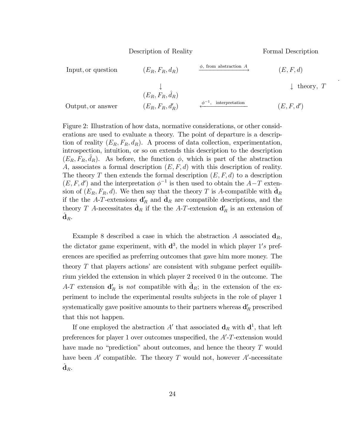Description of Reality **Formal Description** 

:

Input, or question 
$$
(E_R, F_R, d_R)
$$
  $\xrightarrow{\phi, \text{ from abstraction } A}$   $(E, F, d)$   
\n $(E_R, F_R, \hat{d}_R)$   $\downarrow$  theory,  $T$   
\nOutput, or answer  $(E_R, F_R, d'_R)$   $\xrightarrow{\phi^{-1}, \text{ interpretation}}$   $(E, F, d')$ 

Figure 2: Illustration of how data, normative considerations, or other considerations are used to evaluate a theory. The point of departure is a description of reality  $(E_R, F_R, d_R)$ . A process of data collection, experimentation, introspection, intuition, or so on extends this description to the description  $(E_R, F_R, \hat{d}_R)$ . As before, the function  $\phi$ , which is part of the abstraction A, associates a formal description  $(E, F, d)$  with this description of reality. The theory T then extends the formal description  $(E, F, d)$  to a description  $(E, F, d')$  and the interpretation  $\phi^{-1}$  is then used to obtain the  $A-T$  extension of  $(E_R, F_R, d)$ . We then say that the theory T is A-compatible with  $\hat{\mathbf{d}}_R$ if the the A-T-extensions  $\mathbf{d}'_R$  and  $\hat{\mathbf{d}}_R$  are compatible descriptions, and the theory T A-necessitates  $\hat{\mathbf{d}}_R$  if the the A-T-extension  $\mathbf{d}'_R$  is an extension of  $\hat{\textbf{d}}_{R}.$ 

Example 8 described a case in which the abstraction A associated  $\mathbf{d}_R$ , the dictator game experiment, with  $\mathbf{d}^3$ , the model in which player  $1's$  preferences are specified as preferring outcomes that gave him more money. The theory  $T$  that players actions' are consistent with subgame perfect equilibrium yielded the extension in which player 2 received 0 in the outcome. The A-T extension  $\mathbf{d}'_R$  is not compatible with  $\hat{\mathbf{d}}_R$ ; in the extension of the experiment to include the experimental results subjects in the role of player 1 systematically gave positive amounts to their partners whereas  $\mathbf{d}'_R$  prescribed that this not happen.

If one employed the abstraction  $A'$  that associated  $\mathbf{d}_R$  with  $\mathbf{d}^1$ , that left preferences for player 1 over outcomes unspecified, the  $A'$ -T-extension would have made no "prediction" about outcomes, and hence the theory  $T$  would have been  $A'$  compatible. The theory T would not, however  $A'$ -necessitate  $\hat{\textbf{d}}_{R}.$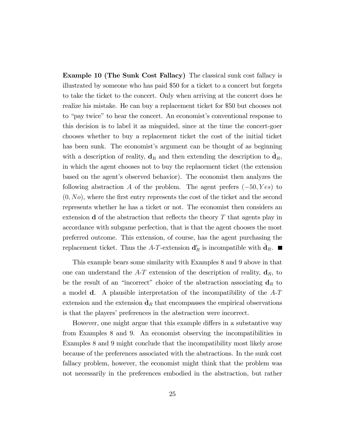Example 10 (The Sunk Cost Fallacy) The classical sunk cost fallacy is illustrated by someone who has paid \$50 for a ticket to a concert but forgets to take the ticket to the concert. Only when arriving at the concert does he realize his mistake. He can buy a replacement ticket for \$50 but chooses not to "pay twice" to hear the concert. An economist's conventional response to this decision is to label it as misguided, since at the time the concert-goer chooses whether to buy a replacement ticket the cost of the initial ticket has been sunk. The economist's argument can be thought of as beginning with a description of reality,  $\mathbf{d}_R$  and then extending the description to  $\hat{\mathbf{d}}_R$ , in which the agent chooses not to buy the replacement ticket (the extension based on the agent's observed behavior). The economist then analyzes the following abstraction A of the problem. The agent prefers  $(-50, Yes)$  to  $(0, No)$ , where the first entry represents the cost of the ticket and the second represents whether he has a ticket or not. The economist then considers an extension  $\bf d$  of the abstraction that reflects the theory T that agents play in accordance with subgame perfection, that is that the agent chooses the most preferred outcome. This extension, of course, has the agent purchasing the replacement ticket. Thus the A-T-extension  $\mathbf{d}'_R$  is incompatible with  $\hat{\mathbf{d}}_R$ .

This example bears some similarity with Examples 8 and 9 above in that one can understand the  $A-T$  extension of the description of reality,  $\mathbf{d}_R$ , to be the result of an "incorrect" choice of the abstraction associating  $d_R$  to a model d. A plausible interpretation of the incompatibility of the A-T extension and the extension  $\hat{d}_R$  that encompasses the empirical observations is that the players' preferences in the abstraction were incorrect.

However, one might argue that this example differs in a substantive way from Examples 8 and 9. An economist observing the incompatibilities in Examples 8 and 9 might conclude that the incompatibility most likely arose because of the preferences associated with the abstractions. In the sunk cost fallacy problem, however, the economist might think that the problem was not necessarily in the preferences embodied in the abstraction, but rather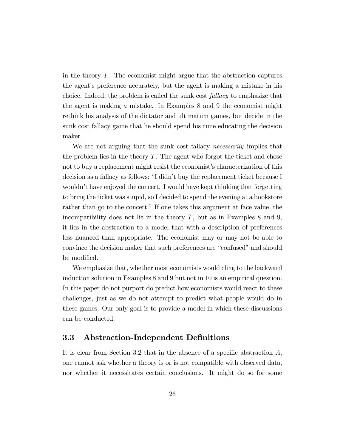in the theory  $T$ . The economist might argue that the abstraction captures the agent's preference accurately, but the agent is making a mistake in his choice. Indeed, the problem is called the sunk cost fallacy to emphasize that the agent is making a mistake. In Examples 8 and 9 the economist might rethink his analysis of the dictator and ultimatum games, but decide in the sunk cost fallacy game that he should spend his time educating the decision maker.

We are not arguing that the sunk cost fallacy *necessarily* implies that the problem lies in the theory  $T$ . The agent who forgot the ticket and chose not to buy a replacement might resist the economist's characterization of this decision as a fallacy as follows: "I didn't buy the replacement ticket because I wouldn't have enjoyed the concert. I would have kept thinking that forgetting to bring the ticket was stupid, so I decided to spend the evening at a bookstore rather than go to the concert." If one takes this argument at face value, the incompatibility does not lie in the theory  $T$ , but as in Examples 8 and 9, it lies in the abstraction to a model that with a description of preferences less nuanced than appropriate. The economist may or may not be able to convince the decision maker that such preferences are "confused" and should be modified.

We emphasize that, whether most economists would cling to the backward induction solution in Examples 8 and 9 but not in 10 is an empirical question. In this paper do not purport do predict how economists would react to these challenges, just as we do not attempt to predict what people would do in these games. Our only goal is to provide a model in which these discussions can be conducted.

### 3.3 Abstraction-Independent Definitions

It is clear from Section 3.2 that in the absence of a specific abstraction  $A$ , one cannot ask whether a theory is or is not compatible with observed data, nor whether it necessitates certain conclusions. It might do so for some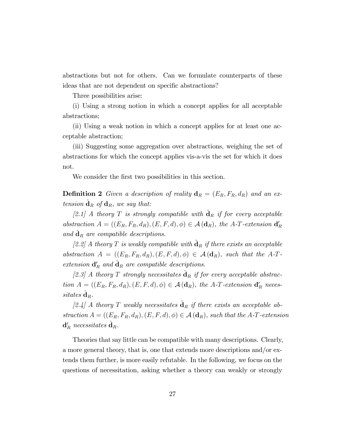abstractions but not for others. Can we formulate counterparts of these ideas that are not dependent on specific abstractions?

Three possibilities arise:

(i) Using a strong notion in which a concept applies for all acceptable abstractions;

(ii) Using a weak notion in which a concept applies for at least one acceptable abstraction;

(iii) Suggesting some aggregation over abstractions, weighing the set of abstractions for which the concept applies vis-a-vis the set for which it does not.

We consider the first two possibilities in this section.

**Definition 2** Given a description of reality  $\mathbf{d}_R = (E_R, F_R, d_R)$  and an extension  $\hat{\mathbf{d}}_R$  of  $\mathbf{d}_R$ , we say that:

[2.1] A theory T is strongly compatible with  $\hat{d}_R$  if for every acceptable abstraction  $A = ((E_R, F_R, d_R), (E, F, d), \phi) \in \mathcal{A}(\mathbf{d}_R)$ , the A-T-extension  $\mathbf{d}'_R$ and  $\hat{\mathbf{d}}_R$  are compatible descriptions.

[2.2] A theory T is weakly compatible with  $\hat{\mathbf{d}}_R$  if there exists an acceptable abstraction  $A = ((E_R, F_R, d_R), (E, F, d), \phi) \in \mathcal{A}(\mathbf{d}_R)$ , such that the A-Textension  $\mathbf{d}'_R$  and  $\hat{\mathbf{d}}_R$  are compatible descriptions.

[2.3] A theory T strongly necessitates  $\hat{d}_R$  if for every acceptable abstraction  $A = ((E_R, F_R, d_R), (E, F, d), \phi) \in \mathcal{A}(\mathbf{d}_R)$ , the A-T-extension  $\mathbf{d}'_R$  neces $sitates\ \hat{\mathbf{d}}_R.$ 

[2.4] A theory T weakly necessitates  $\hat{\mathbf{d}}_R$  if there exists an acceptable abstraction  $A = ((E_R, F_R, d_R), (E, F, d), \phi) \in \mathcal{A}(\mathbf{d}_R)$ , such that the A-T-extension  $\mathbf{d}_R'$  necessitates  $\hat{\mathbf{d}}_R$ .

Theories that say little can be compatible with many descriptions. Clearly, a more general theory, that is, one that extends more descriptions and/or extends them further, is more easily refutable. In the following, we focus on the questions of necessitation, asking whether a theory can weakly or strongly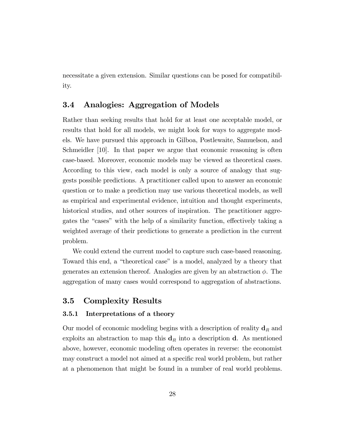necessitate a given extension. Similar questions can be posed for compatibility.

### 3.4 Analogies: Aggregation of Models

Rather than seeking results that hold for at least one acceptable model, or results that hold for all models, we might look for ways to aggregate models. We have pursued this approach in Gilboa, Postlewaite, Samuelson, and Schmeidler [10]. In that paper we argue that economic reasoning is often case-based. Moreover, economic models may be viewed as theoretical cases. According to this view, each model is only a source of analogy that suggests possible predictions. A practitioner called upon to answer an economic question or to make a prediction may use various theoretical models, as well as empirical and experimental evidence, intuition and thought experiments, historical studies, and other sources of inspiration. The practitioner aggregates the "cases" with the help of a similarity function, effectively taking a weighted average of their predictions to generate a prediction in the current problem.

We could extend the current model to capture such case-based reasoning. Toward this end, a "theoretical case" is a model, analyzed by a theory that generates an extension thereof. Analogies are given by an abstraction  $\phi$ . The aggregation of many cases would correspond to aggregation of abstractions.

### 3.5 Complexity Results

#### 3.5.1 Interpretations of a theory

Our model of economic modeling begins with a description of reality  $\mathbf{d}_R$  and exploits an abstraction to map this  $\mathbf{d}_R$  into a description d. As mentioned above, however, economic modeling often operates in reverse: the economist may construct a model not aimed at a specific real world problem, but rather at a phenomenon that might be found in a number of real world problems.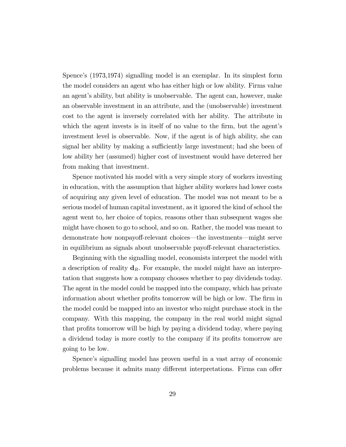Spence's (1973,1974) signalling model is an exemplar. In its simplest form the model considers an agent who has either high or low ability. Firms value an agent's ability, but ability is unobservable. The agent can, however, make an observable investment in an attribute, and the (unobservable) investment cost to the agent is inversely correlated with her ability. The attribute in which the agent invests is in itself of no value to the firm, but the agent's investment level is observable. Now, if the agent is of high ability, she can signal her ability by making a sufficiently large investment; had she been of low ability her (assumed) higher cost of investment would have deterred her from making that investment.

Spence motivated his model with a very simple story of workers investing in education, with the assumption that higher ability workers had lower costs of acquiring any given level of education. The model was not meant to be a serious model of human capital investment, as it ignored the kind of school the agent went to, her choice of topics, reasons other than subsequent wages she might have chosen to go to school, and so on. Rather, the model was meant to demonstrate how nonpayoff-relevant choices—the investments—might serve in equilibrium as signals about unobservable payoff-relevant characteristics.

Beginning with the signalling model, economists interpret the model with a description of reality  $d_R$ . For example, the model might have an interpretation that suggests how a company chooses whether to pay dividends today. The agent in the model could be mapped into the company, which has private information about whether profits tomorrow will be high or low. The firm in the model could be mapped into an investor who might purchase stock in the company. With this mapping, the company in the real world might signal that profits tomorrow will be high by paying a dividend today, where paying a dividend today is more costly to the company if its profits tomorrow are going to be low.

Spence's signalling model has proven useful in a vast array of economic problems because it admits many different interpretations. Firms can offer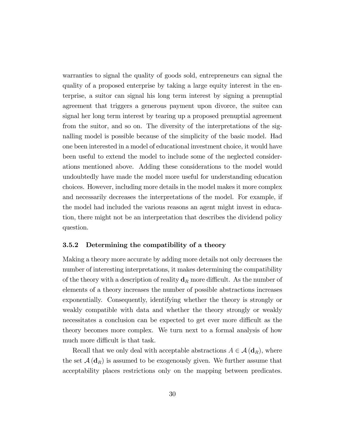warranties to signal the quality of goods sold, entrepreneurs can signal the quality of a proposed enterprise by taking a large equity interest in the enterprise, a suitor can signal his long term interest by signing a prenuptial agreement that triggers a generous payment upon divorce, the suitee can signal her long term interest by tearing up a proposed prenuptial agreement from the suitor, and so on. The diversity of the interpretations of the signalling model is possible because of the simplicity of the basic model. Had one been interested in a model of educational investment choice, it would have been useful to extend the model to include some of the neglected considerations mentioned above. Adding these considerations to the model would undoubtedly have made the model more useful for understanding education choices. However, including more details in the model makes it more complex and necessarily decreases the interpretations of the model. For example, if the model had included the various reasons an agent might invest in education, there might not be an interpretation that describes the dividend policy question.

#### 3.5.2 Determining the compatibility of a theory

Making a theory more accurate by adding more details not only decreases the number of interesting interpretations, it makes determining the compatibility of the theory with a description of reality  $\mathbf{d}_R$  more difficult. As the number of elements of a theory increases the number of possible abstractions increases exponentially. Consequently, identifying whether the theory is strongly or weakly compatible with data and whether the theory strongly or weakly necessitates a conclusion can be expected to get ever more difficult as the theory becomes more complex. We turn next to a formal analysis of how much more difficult is that task.

Recall that we only deal with acceptable abstractions  $A \in \mathcal{A}(\mathbf{d}_R)$ , where the set  $\mathcal{A}(\mathbf{d}_R)$  is assumed to be exogenously given. We further assume that acceptability places restrictions only on the mapping between predicates.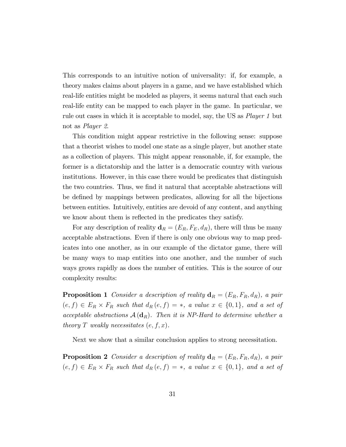This corresponds to an intuitive notion of universality: if, for example, a theory makes claims about players in a game, and we have established which real-life entities might be modeled as players, it seems natural that each such real-life entity can be mapped to each player in the game. In particular, we rule out cases in which it is acceptable to model, say, the US as Player 1 but not as Player 2.

This condition might appear restrictive in the following sense: suppose that a theorist wishes to model one state as a single player, but another state as a collection of players. This might appear reasonable, if, for example, the former is a dictatorship and the latter is a democratic country with various institutions. However, in this case there would be predicates that distinguish the two countries. Thus, we find it natural that acceptable abstractions will be defined by mappings between predicates, allowing for all the bijections between entities. Intuitively, entities are devoid of any content, and anything we know about them is reflected in the predicates they satisfy.

For any description of reality  $\mathbf{d}_R = (E_R, F_E, d_R)$ , there will thus be many acceptable abstractions. Even if there is only one obvious way to map predicates into one another, as in our example of the dictator game, there will be many ways to map entities into one another, and the number of such ways grows rapidly as does the number of entities. This is the source of our complexity results:

**Proposition 1** Consider a description of reality  $\mathbf{d}_R = (E_R, F_R, d_R)$ , a pair  $(e, f) \in E_R \times F_R$  such that  $d_R(e, f) = *$ , a value  $x \in \{0, 1\}$ , and a set of acceptable abstractions  $\mathcal{A}(\mathbf{d}_R)$ . Then it is NP-Hard to determine whether a theory T weakly necessitates  $(e, f, x)$ .

Next we show that a similar conclusion applies to strong necessitation.

**Proposition 2** Consider a description of reality  $\mathbf{d}_R = (E_R, F_R, d_R)$ , a pair  $(e, f) \in E_R \times F_R$  such that  $d_R(e, f) = *$ , a value  $x \in \{0, 1\}$ , and a set of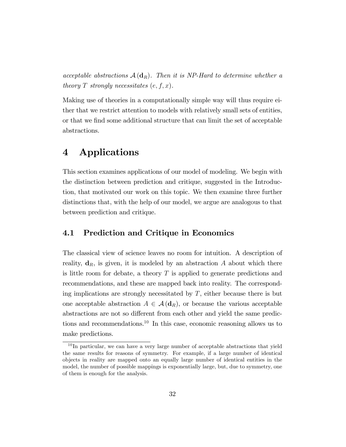acceptable abstractions  $\mathcal{A}(\mathbf{d}_R)$ . Then it is NP-Hard to determine whether a theory T strongly necessitates  $(e, f, x)$ .

Making use of theories in a computationally simple way will thus require either that we restrict attention to models with relatively small sets of entities, or that we find some additional structure that can limit the set of acceptable abstractions.

## 4 Applications

This section examines applications of our model of modeling. We begin with the distinction between prediction and critique, suggested in the Introduction, that motivated our work on this topic. We then examine three further distinctions that, with the help of our model, we argue are analogous to that between prediction and critique.

### 4.1 Prediction and Critique in Economics

The classical view of science leaves no room for intuition. A description of reality,  $\mathbf{d}_R$ , is given, it is modeled by an abstraction A about which there is little room for debate, a theory  $T$  is applied to generate predictions and recommendations, and these are mapped back into reality. The corresponding implications are strongly necessitated by  $T$ , either because there is but one acceptable abstraction  $A \in \mathcal{A}(\mathbf{d}_R)$ , or because the various acceptable abstractions are not so different from each other and yield the same predictions and recommendations.<sup>10</sup> In this case, economic reasoning allows us to make predictions.

 $10$ In particular, we can have a very large number of acceptable abstractions that yield the same results for reasons of symmetry. For example, if a large number of identical objects in reality are mapped onto an equally large number of identical entities in the model, the number of possible mappings is exponentially large, but, due to symmetry, one of them is enough for the analysis.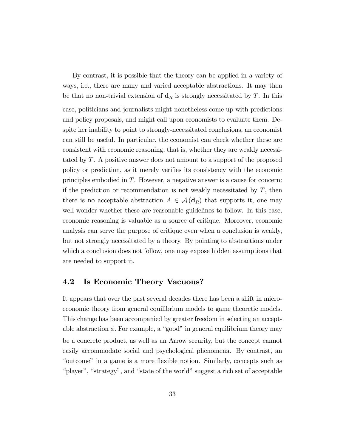By contrast, it is possible that the theory can be applied in a variety of ways, i.e., there are many and varied acceptable abstractions. It may then be that no non-trivial extension of  $\mathbf{d}_R$  is strongly necessitated by T. In this case, politicians and journalists might nonetheless come up with predictions and policy proposals, and might call upon economists to evaluate them. Despite her inability to point to strongly-necessitated conclusions, an economist can still be useful. In particular, the economist can check whether these are consistent with economic reasoning, that is, whether they are weakly necessitated by T. A positive answer does not amount to a support of the proposed policy or prediction, as it merely verifies its consistency with the economic principles embodied in T. However, a negative answer is a cause for concern: if the prediction or recommendation is not weakly necessitated by  $T$ , then there is no acceptable abstraction  $A \in \mathcal{A}(\mathbf{d}_R)$  that supports it, one may well wonder whether these are reasonable guidelines to follow. In this case, economic reasoning is valuable as a source of critique. Moreover, economic analysis can serve the purpose of critique even when a conclusion is weakly, but not strongly necessitated by a theory. By pointing to abstractions under which a conclusion does not follow, one may expose hidden assumptions that are needed to support it.

#### 4.2 Is Economic Theory Vacuous?

It appears that over the past several decades there has been a shift in microeconomic theory from general equilibrium models to game theoretic models. This change has been accompanied by greater freedom in selecting an acceptable abstraction  $\phi$ . For example, a "good" in general equilibrium theory may be a concrete product, as well as an Arrow security, but the concept cannot easily accommodate social and psychological phenomena. By contrast, an "outcome" in a game is a more flexible notion. Similarly, concepts such as "player", "strategy", and "state of the world" suggest a rich set of acceptable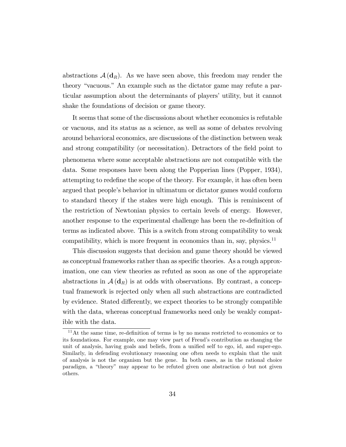abstractions  $\mathcal{A}(\mathbf{d}_R)$ . As we have seen above, this freedom may render the theory "vacuous." An example such as the dictator game may refute a particular assumption about the determinants of players' utility, but it cannot shake the foundations of decision or game theory.

It seems that some of the discussions about whether economics is refutable or vacuous, and its status as a science, as well as some of debates revolving around behavioral economics, are discussions of the distinction between weak and strong compatibility (or necessitation). Detractors of the field point to phenomena where some acceptable abstractions are not compatible with the data. Some responses have been along the Popperian lines (Popper, 1934), attempting to redefine the scope of the theory. For example, it has often been argued that peopleís behavior in ultimatum or dictator games would conform to standard theory if the stakes were high enough. This is reminiscent of the restriction of Newtonian physics to certain levels of energy. However, another response to the experimental challenge has been the re-definition of terms as indicated above. This is a switch from strong compatibility to weak compatibility, which is more frequent in economics than in, say, physics. $11$ 

This discussion suggests that decision and game theory should be viewed as conceptual frameworks rather than as specific theories. As a rough approximation, one can view theories as refuted as soon as one of the appropriate abstractions in  $\mathcal{A}(\mathbf{d}_R)$  is at odds with observations. By contrast, a conceptual framework is rejected only when all such abstractions are contradicted by evidence. Stated differently, we expect theories to be strongly compatible with the data, whereas conceptual frameworks need only be weakly compatible with the data.

 $11$ At the same time, re-definition of terms is by no means restricted to economics or to its foundations. For example, one may view part of Freud's contribution as changing the unit of analysis, having goals and beliefs, from a unified self to ego, id, and super-ego. Similarly, in defending evolutionary reasoning one often needs to explain that the unit of analysis is not the organism but the gene. In both cases, as in the rational choice paradigm, a "theory" may appear to be refuted given one abstraction  $\phi$  but not given others.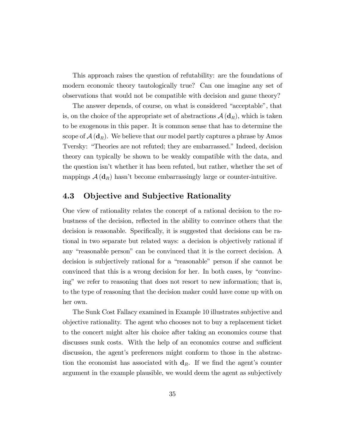This approach raises the question of refutability: are the foundations of modern economic theory tautologically true? Can one imagine any set of observations that would not be compatible with decision and game theory?

The answer depends, of course, on what is considered "acceptable", that is, on the choice of the appropriate set of abstractions  $A(d_R)$ , which is taken to be exogenous in this paper. It is common sense that has to determine the scope of  $A(d_R)$ . We believe that our model partly captures a phrase by Amos Tversky: "Theories are not refuted; they are embarrassed." Indeed, decision theory can typically be shown to be weakly compatible with the data, and the question isnít whether it has been refuted, but rather, whether the set of mappings  $\mathcal{A}(\mathbf{d}_R)$  hasn't become embarrassingly large or counter-intuitive.

### 4.3 Objective and Subjective Rationality

One view of rationality relates the concept of a rational decision to the robustness of the decision, reflected in the ability to convince others that the decision is reasonable. Specifically, it is suggested that decisions can be rational in two separate but related ways: a decision is objectively rational if any "reasonable person" can be convinced that it is the correct decision. A decision is subjectively rational for a "reasonable" person if she cannot be convinced that this is a wrong decision for her. In both cases, by "convincingî we refer to reasoning that does not resort to new information; that is, to the type of reasoning that the decision maker could have come up with on her own.

The Sunk Cost Fallacy examined in Example 10 illustrates subjective and objective rationality. The agent who chooses not to buy a replacement ticket to the concert might alter his choice after taking an economics course that discusses sunk costs. With the help of an economics course and sufficient discussion, the agent's preferences might conform to those in the abstraction the economist has associated with  $\mathbf{d}_R$ . If we find the agent's counter argument in the example plausible, we would deem the agent as subjectively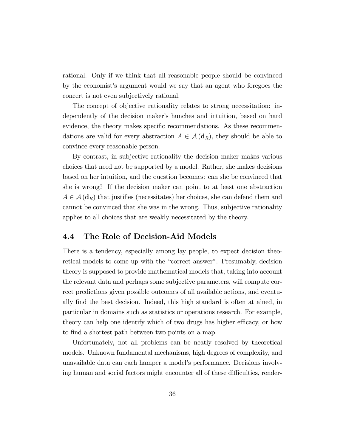rational. Only if we think that all reasonable people should be convinced by the economistís argument would we say that an agent who foregoes the concert is not even subjectively rational.

The concept of objective rationality relates to strong necessitation: independently of the decision maker's hunches and intuition, based on hard evidence, the theory makes specific recommendations. As these recommendations are valid for every abstraction  $A \in \mathcal{A}(\mathbf{d}_R)$ , they should be able to convince every reasonable person.

By contrast, in subjective rationality the decision maker makes various choices that need not be supported by a model. Rather, she makes decisions based on her intuition, and the question becomes: can she be convinced that she is wrong? If the decision maker can point to at least one abstraction  $A \in \mathcal{A}(\mathbf{d}_R)$  that justifies (necessitates) her choices, she can defend them and cannot be convinced that she was in the wrong. Thus, subjective rationality applies to all choices that are weakly necessitated by the theory.

### 4.4 The Role of Decision-Aid Models

There is a tendency, especially among lay people, to expect decision theoretical models to come up with the "correct answer". Presumably, decision theory is supposed to provide mathematical models that, taking into account the relevant data and perhaps some subjective parameters, will compute correct predictions given possible outcomes of all available actions, and eventually Önd the best decision. Indeed, this high standard is often attained, in particular in domains such as statistics or operations research. For example, theory can help one identify which of two drugs has higher efficacy, or how to find a shortest path between two points on a map.

Unfortunately, not all problems can be neatly resolved by theoretical models. Unknown fundamental mechanisms, high degrees of complexity, and unavailable data can each hamper a modelís performance. Decisions involving human and social factors might encounter all of these difficulties, render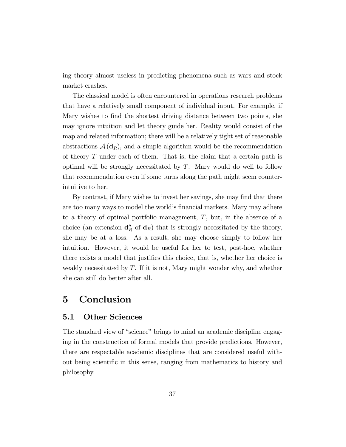ing theory almost useless in predicting phenomena such as wars and stock market crashes.

The classical model is often encountered in operations research problems that have a relatively small component of individual input. For example, if Mary wishes to find the shortest driving distance between two points, she may ignore intuition and let theory guide her. Reality would consist of the map and related information; there will be a relatively tight set of reasonable abstractions  $\mathcal{A}(\mathbf{d}_R)$ , and a simple algorithm would be the recommendation of theory T under each of them. That is, the claim that a certain path is optimal will be strongly necessitated by  $T$ . Mary would do well to follow that recommendation even if some turns along the path might seem counterintuitive to her.

By contrast, if Mary wishes to invest her savings, she may find that there are too many ways to model the world's financial markets. Mary may adhere to a theory of optimal portfolio management, T, but, in the absence of a choice (an extension  $\mathbf{d}_R''$  of  $\mathbf{d}_R$ ) that is strongly necessitated by the theory, she may be at a loss. As a result, she may choose simply to follow her intuition. However, it would be useful for her to test, post-hoc, whether there exists a model that justifies this choice, that is, whether her choice is weakly necessitated by T. If it is not, Mary might wonder why, and whether she can still do better after all.

## 5 Conclusion

#### 5.1 Other Sciences

The standard view of "science" brings to mind an academic discipline engaging in the construction of formal models that provide predictions. However, there are respectable academic disciplines that are considered useful without being scientific in this sense, ranging from mathematics to history and philosophy.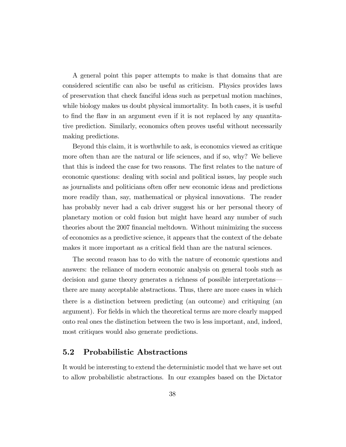A general point this paper attempts to make is that domains that are considered scientific can also be useful as criticism. Physics provides laws of preservation that check fanciful ideas such as perpetual motion machines, while biology makes us doubt physical immortality. In both cases, it is useful to find the flaw in an argument even if it is not replaced by any quantitative prediction. Similarly, economics often proves useful without necessarily making predictions.

Beyond this claim, it is worthwhile to ask, is economics viewed as critique more often than are the natural or life sciences, and if so, why? We believe that this is indeed the case for two reasons. The first relates to the nature of economic questions: dealing with social and political issues, lay people such as journalists and politicians often offer new economic ideas and predictions more readily than, say, mathematical or physical innovations. The reader has probably never had a cab driver suggest his or her personal theory of planetary motion or cold fusion but might have heard any number of such theories about the 2007 financial meltdown. Without minimizing the success of economics as a predictive science, it appears that the context of the debate makes it more important as a critical field than are the natural sciences.

The second reason has to do with the nature of economic questions and answers: the reliance of modern economic analysis on general tools such as decision and game theory generates a richness of possible interpretations there are many acceptable abstractions. Thus, there are more cases in which there is a distinction between predicting (an outcome) and critiquing (an argument). For Öelds in which the theoretical terms are more clearly mapped onto real ones the distinction between the two is less important, and, indeed, most critiques would also generate predictions.

### 5.2 Probabilistic Abstractions

It would be interesting to extend the deterministic model that we have set out to allow probabilistic abstractions. In our examples based on the Dictator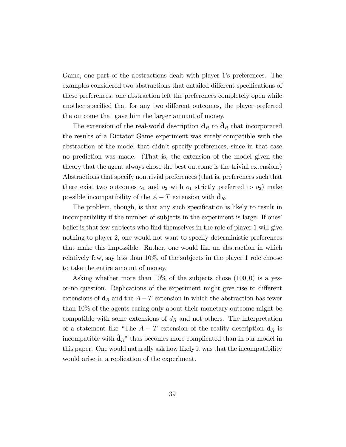Game, one part of the abstractions dealt with player 1's preferences. The examples considered two abstractions that entailed different specifications of these preferences: one abstraction left the preferences completely open while another specified that for any two different outcomes, the player preferred the outcome that gave him the larger amount of money.

The extension of the real-world description  $\mathbf{d}_R$  to  $\hat{\mathbf{d}}_R$  that incorporated the results of a Dictator Game experiment was surely compatible with the abstraction of the model that didnít specify preferences, since in that case no prediction was made. (That is, the extension of the model given the theory that the agent always chose the best outcome is the trivial extension.) Abstractions that specify nontrivial preferences (that is, preferences such that there exist two outcomes  $o_1$  and  $o_2$  with  $o_1$  strictly preferred to  $o_2$ ) make possible incompatibility of the  $A - T$  extension with  $\mathbf{d}_R$ .

The problem, though, is that any such specification is likely to result in incompatibility if the number of subjects in the experiment is large. If ones belief is that few subjects who find themselves in the role of player 1 will give nothing to player 2, one would not want to specify deterministic preferences that make this impossible. Rather, one would like an abstraction in which relatively few, say less than 10%, of the subjects in the player 1 role choose to take the entire amount of money.

Asking whether more than  $10\%$  of the subjects chose  $(100, 0)$  is a yesor-no question. Replications of the experiment might give rise to different extensions of  $\mathbf{d}_R$  and the  $A - T$  extension in which the abstraction has fewer than 10% of the agents caring only about their monetary outcome might be compatible with some extensions of  $d_R$  and not others. The interpretation of a statement like "The  $A - T$  extension of the reality description  $\mathbf{d}_R$  is incompatible with  $\hat{\mathbf{d}}_R$ <sup>n</sup> thus becomes more complicated than in our model in this paper. One would naturally ask how likely it was that the incompatibility would arise in a replication of the experiment.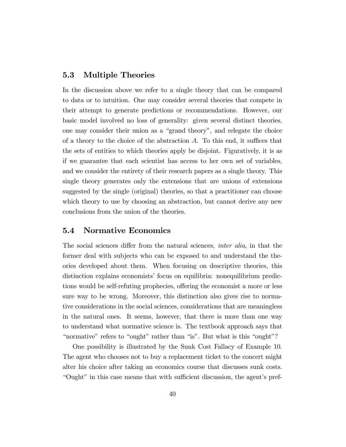### 5.3 Multiple Theories

In the discussion above we refer to a single theory that can be compared to data or to intuition. One may consider several theories that compete in their attempt to generate predictions or recommendations. However, our basic model involved no loss of generality: given several distinct theories, one may consider their union as a "grand theory", and relegate the choice of a theory to the choice of the abstraction  $A$ . To this end, it suffices that the sets of entities to which theories apply be disjoint. Figuratively, it is as if we guarantee that each scientist has access to her own set of variables, and we consider the entirety of their research papers as a single theory. This single theory generates only the extensions that are unions of extensions suggested by the single (original) theories, so that a practitioner can choose which theory to use by choosing an abstraction, but cannot derive any new conclusions from the union of the theories.

## 5.4 Normative Economics

The social sciences differ from the natural sciences, *inter alia*, in that the former deal with subjects who can be exposed to and understand the theories developed about them. When focusing on descriptive theories, this distinction explains economists' focus on equilibria: nonequilibrium predictions would be self-refuting prophecies, offering the economist a more or less sure way to be wrong. Moreover, this distinction also gives rise to normative considerations in the social sciences, considerations that are meaningless in the natural ones. It seems, however, that there is more than one way to understand what normative science is. The textbook approach says that "normative" refers to "ought" rather than "is". But what is this "ought"?

One possibility is illustrated by the Sunk Cost Fallacy of Example 10. The agent who chooses not to buy a replacement ticket to the concert might alter his choice after taking an economics course that discusses sunk costs. ìOughtîin this case means that with su¢ cient discussion, the agentís pref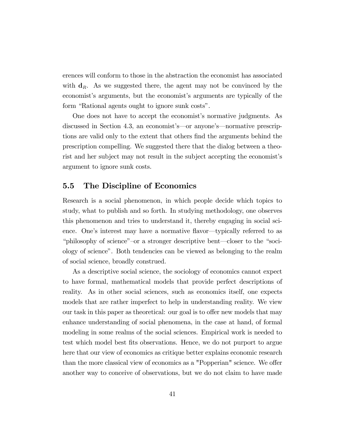erences will conform to those in the abstraction the economist has associated with  $\mathbf{d}_R$ . As we suggested there, the agent may not be convinced by the economist's arguments, but the economist's arguments are typically of the form "Rational agents ought to ignore sunk costs".

One does not have to accept the economist's normative judgments. As discussed in Section 4.3, an economist's—or anyone's—normative prescriptions are valid only to the extent that others Önd the arguments behind the prescription compelling. We suggested there that the dialog between a theorist and her subject may not result in the subject accepting the economist's argument to ignore sunk costs.

### 5.5 The Discipline of Economics

Research is a social phenomenon, in which people decide which topics to study, what to publish and so forth. In studying methodology, one observes this phenomenon and tries to understand it, thereby engaging in social science. One's interest may have a normative flavor—typically referred to as "philosophy of science"-or a stronger descriptive bent—closer to the "sociology of scienceî. Both tendencies can be viewed as belonging to the realm of social science, broadly construed.

As a descriptive social science, the sociology of economics cannot expect to have formal, mathematical models that provide perfect descriptions of reality. As in other social sciences, such as economics itself, one expects models that are rather imperfect to help in understanding reality. We view our task in this paper as theoretical: our goal is to offer new models that may enhance understanding of social phenomena, in the case at hand, of formal modeling in some realms of the social sciences. Empirical work is needed to test which model best fits observations. Hence, we do not purport to argue here that our view of economics as critique better explains economic research than the more classical view of economics as a "Popperian" science. We offer another way to conceive of observations, but we do not claim to have made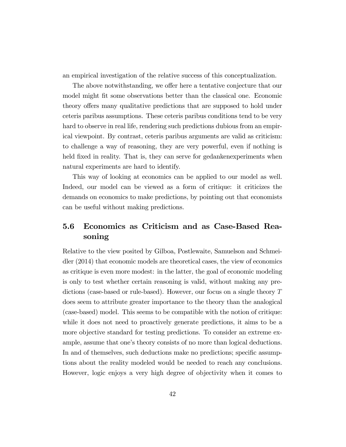an empirical investigation of the relative success of this conceptualization.

The above notwithstanding, we offer here a tentative conjecture that our model might fit some observations better than the classical one. Economic theory offers many qualitative predictions that are supposed to hold under ceteris paribus assumptions. These ceteris paribus conditions tend to be very hard to observe in real life, rendering such predictions dubious from an empirical viewpoint. By contrast, ceteris paribus arguments are valid as criticism: to challenge a way of reasoning, they are very powerful, even if nothing is held fixed in reality. That is, they can serve for gedankenexperiments when natural experiments are hard to identify.

This way of looking at economics can be applied to our model as well. Indeed, our model can be viewed as a form of critique: it criticizes the demands on economics to make predictions, by pointing out that economists can be useful without making predictions.

## 5.6 Economics as Criticism and as Case-Based Reasoning

Relative to the view posited by Gilboa, Postlewaite, Samuelson and Schmeidler (2014) that economic models are theoretical cases, the view of economics as critique is even more modest: in the latter, the goal of economic modeling is only to test whether certain reasoning is valid, without making any predictions (case-based or rule-based). However, our focus on a single theory T does seem to attribute greater importance to the theory than the analogical (case-based) model. This seems to be compatible with the notion of critique: while it does not need to proactively generate predictions, it aims to be a more objective standard for testing predictions. To consider an extreme example, assume that one's theory consists of no more than logical deductions. In and of themselves, such deductions make no predictions; specific assumptions about the reality modeled would be needed to reach any conclusions. However, logic enjoys a very high degree of objectivity when it comes to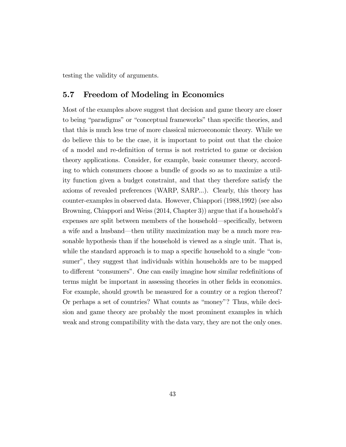testing the validity of arguments.

### 5.7 Freedom of Modeling in Economics

Most of the examples above suggest that decision and game theory are closer to being "paradigms" or "conceptual frameworks" than specific theories, and that this is much less true of more classical microeconomic theory. While we do believe this to be the case, it is important to point out that the choice of a model and re-deÖnition of terms is not restricted to game or decision theory applications. Consider, for example, basic consumer theory, according to which consumers choose a bundle of goods so as to maximize a utility function given a budget constraint, and that they therefore satisfy the axioms of revealed preferences (WARP, SARP...). Clearly, this theory has counter-examples in observed data. However, Chiappori (1988,1992) (see also Browning, Chiappori and Weiss (2014, Chapter 3)) argue that if a household's expenses are split between members of the household—specifically, between a wife and a husband—then utility maximization may be a much more reasonable hypothesis than if the household is viewed as a single unit. That is, while the standard approach is to map a specific household to a single "consumer", they suggest that individuals within households are to be mapped to different "consumers". One can easily imagine how similar redefinitions of terms might be important in assessing theories in other fields in economics. For example, should growth be measured for a country or a region thereof? Or perhaps a set of countries? What counts as "money"? Thus, while deci-sion and game theory are probably the most prominent examples in which weak and strong compatibility with the data vary, they are not the only ones.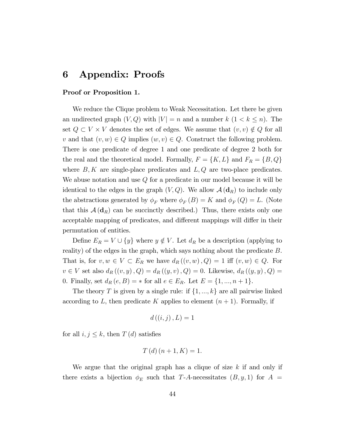## 6 Appendix: Proofs

#### Proof or Proposition 1.

We reduce the Clique problem to Weak Necessitation. Let there be given an undirected graph  $(V, Q)$  with  $|V| = n$  and a number  $k$   $(1 < k \leq n)$ . The set  $Q \subset V \times V$  denotes the set of edges. We assume that  $(v, v) \notin Q$  for all v and that  $(v, w) \in Q$  implies  $(w, v) \in Q$ . Construct the following problem. There is one predicate of degree 1 and one predicate of degree 2 both for the real and the theoretical model. Formally,  $F = \{K, L\}$  and  $F_R = \{B, Q\}$ where  $B, K$  are single-place predicates and  $L, Q$  are two-place predicates. We abuse notation and use  $Q$  for a predicate in our model because it will be identical to the edges in the graph  $(V, Q)$ . We allow  $\mathcal{A}(\mathbf{d}_R)$  to include only the abstractions generated by  $\phi_F$  where  $\phi_F(B) = K$  and  $\phi_F(Q) = L$ . (Note that this  $A(\mathbf{d}_R)$  can be succinctly described.) Thus, there exists only one acceptable mapping of predicates, and different mappings will differ in their permutation of entities.

Define  $E_R = V \cup \{y\}$  where  $y \notin V$ . Let  $d_R$  be a description (applying to reality) of the edges in the graph, which says nothing about the predicate B. That is, for  $v, w \in V \subset E_R$  we have  $d_R((v, w), Q) = 1$  iff  $(v, w) \in Q$ . For  $v \in V$  set also  $d_R((v, y), Q) = d_R((y, v), Q) = 0$ . Likewise,  $d_R((y, y), Q) = 0$ . 0. Finally, set  $d_R(e, B) = *$  for all  $e \in E_R$ . Let  $E = \{1, ..., n + 1\}$ .

The theory T is given by a single rule: if  $\{1, ..., k\}$  are all pairwise linked according to L, then predicate K applies to element  $(n + 1)$ . Formally, if

$$
d\left(\left(i,j\right),L\right)=1
$$

for all  $i, j \leq k$ , then  $T(d)$  satisfies

$$
T(d)(n+1,K) = 1.
$$

We argue that the original graph has a clique of size  $k$  if and only if there exists a bijection  $\phi_E$  such that T-A-necessitates  $(B, y, 1)$  for  $A =$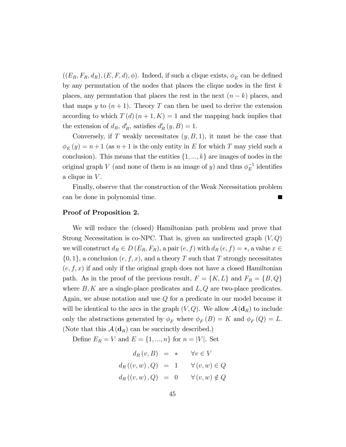$((E_R, F_R, d_R), (E, F, d), \phi)$ . Indeed, if such a clique exists,  $\phi_E$  can be defined by any permutation of the nodes that places the clique nodes in the first  $k$ places, any permutation that places the rest in the next  $(n - k)$  places, and that maps y to  $(n+1)$ . Theory T can then be used to derive the extension according to which  $T(d)(n+1, K) = 1$  and the mapping back implies that the extension of  $d_R$ ,  $d'_R$ , satisfies  $d'_R(y, B) = 1$ .

Conversely, if T weakly necessitates  $(y, B, 1)$ , it must be the case that  $\phi_E(y) = n + 1$  (as  $n + 1$  is the only entity in E for which T may yield such a conclusion). This means that the entities  $\{1, ..., k\}$  are images of nodes in the original graph V (and none of them is an image of y) and thus  $\phi_E^{-1}$  identifies a clique in  $V$ .

Finally, observe that the construction of the Weak Necessitation problem can be done in polynomial time.

#### Proof of Proposition 2.

We will reduce the (closed) Hamiltonian path problem and prove that Strong Necessitation is co-NPC. That is, given an undirected graph  $(V, Q)$ we will construct  $d_R \in D(E_R, F_R)$ , a pair  $(e, f)$  with  $d_R(e, f) = *$ , a value  $x \in$  $\{0, 1\}$ , a conclusion  $(e, f, x)$ , and a theory T such that T strongly necessitates  $(e, f, x)$  if and only if the original graph does not have a closed Hamiltonian path. As in the proof of the previous result,  $F = \{K, L\}$  and  $F_R = \{B, Q\}$ where  $B, K$  are a single-place predicates and  $L, Q$  are two-place predicates. Again, we abuse notation and use Q for a predicate in our model because it will be identical to the arcs in the graph  $(V, Q)$ . We allow  $\mathcal{A}(\mathbf{d}_R)$  to include only the abstractions generated by  $\phi_F$  where  $\phi_F(B) = K$  and  $\phi_F(Q) = L$ . (Note that this  $\mathcal{A}(\mathbf{d}_R)$  can be succinctly described.)

Define  $E_R = V$  and  $E = \{1, ..., n\}$  for  $n = |V|$ . Set

$$
d_R(v, B) = * \quad \forall v \in V
$$
  

$$
d_R((v, w), Q) = 1 \quad \forall (v, w) \in Q
$$
  

$$
d_R((v, w), Q) = 0 \quad \forall (v, w) \notin Q
$$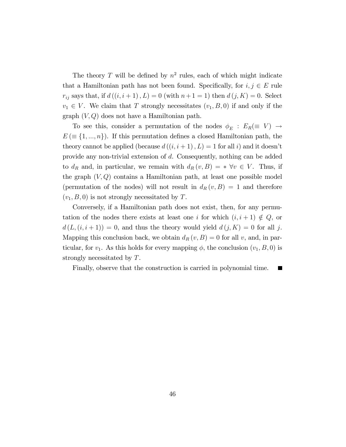The theory T will be defined by  $n^2$  rules, each of which might indicate that a Hamiltonian path has not been found. Specifically, for  $i, j \in E$  rule  $r_{ij}$  says that, if  $d((i, i + 1), L) = 0$  (with  $n+1 = 1$ ) then  $d(j, K) = 0$ . Select  $v_1 \in V$ . We claim that T strongly necessitates  $(v_1, B, 0)$  if and only if the graph  $(V, Q)$  does not have a Hamiltonian path.

To see this, consider a permutation of the nodes  $\phi_E : E_R(\equiv V) \rightarrow$  $E \in \{1, ..., n\}$ . If this permutation defines a closed Hamiltonian path, the theory cannot be applied (because  $d((i, i + 1), L) = 1$  for all i) and it doesn't provide any non-trivial extension of d. Consequently, nothing can be added to  $d_R$  and, in particular, we remain with  $d_R(v, B) = * \forall v \in V$ . Thus, if the graph  $(V, Q)$  contains a Hamiltonian path, at least one possible model (permutation of the nodes) will not result in  $d_R(v, B) = 1$  and therefore  $(v_1, B, 0)$  is not strongly necessitated by T.

Conversely, if a Hamiltonian path does not exist, then, for any permutation of the nodes there exists at least one i for which  $(i, i + 1) \notin Q$ , or  $d(L,(i,i+1)) = 0$ , and thus the theory would yield  $d(j,K) = 0$  for all j. Mapping this conclusion back, we obtain  $d_R(v, B) = 0$  for all v, and, in particular, for  $v_1$ . As this holds for every mapping  $\phi$ , the conclusion  $(v_1, B, 0)$  is strongly necessitated by T.

Finally, observe that the construction is carried in polynomial time.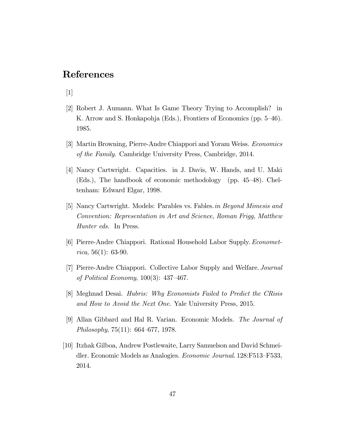## References

[1]

- [2] Robert J. Aumann. What Is Game Theory Trying to Accomplish? in K. Arrow and S. Honkapohja (Eds.), Frontiers of Economics (pp. 5–46). 1985.
- [3] Martin Browning, Pierre-Andre Chiappori and Yoram Weiss. Economics of the Family. Cambridge University Press, Cambridge, 2014.
- [4] Nancy Cartwright. Capacities. in J. Davis, W. Hands, and U. Maki (Eds.), The handbook of economic methodology (pp.  $45-48$ ). Cheltenham: Edward Elgar, 1998.
- [5] Nancy Cartwright. Models: Parables vs. Fables.in Beyond Mimesis and Convention: Representation in Art and Science, Roman Frigg, Matthew Hunter eds. In Press.
- [6] Pierre-Andre Chiappori. Rational Household Labor Supply. Econometrica, 56(1): 63-90.
- [7] Pierre-Andre Chiappori. Collective Labor Supply and Welfare. Journal of Political Economy,  $100(3)$ : 437-467.
- [8] Meghnad Desai. Hubris: Why Economists Failed to Predict the CRisis and How to Avoid the Next One. Yale University Press, 2015.
- [9] Allan Gibbard and Hal R. Varian. Economic Models. The Journal of Philosophy,  $75(11)$ : 664–677, 1978.
- [10] Itzhak Gilboa, Andrew Postlewaite, Larry Samuelson and David Schmeidler. Economic Models as Analogies. *Economic Journal.* 128:F513–F533, 2014.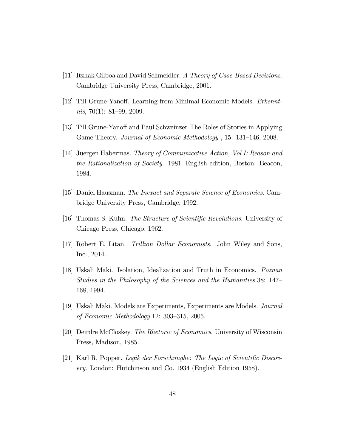- [11] Itzhak Gilboa and David Schmeidler. A Theory of Case-Based Decisions. Cambridge University Press, Cambridge, 2001.
- [12] Till Grune-Yanoff. Learning from Minimal Economic Models. *Erkennt* $nis, 70(1): 81–99, 2009.$
- [13] Till Grune-Yanoff and Paul Schweinzer The Roles of Stories in Applying Game Theory. Journal of Economic Methodology, 15: 131–146, 2008.
- [14] Juergen Habermas. Theory of Communicative Action, Vol I: Reason and the Rationalization of Society. 1981. English edition, Boston: Beacon, 1984.
- [15] Daniel Hausman. The Inexact and Separate Science of Economics. Cambridge University Press, Cambridge, 1992.
- [16] Thomas S. Kuhn. *The Structure of Scientific Revolutions*. University of Chicago Press, Chicago, 1962.
- [17] Robert E. Litan. Trillion Dollar Economists. John Wiley and Sons, Inc., 2014.
- [18] Uskali Maki. Isolation, Idealization and Truth in Economics. Poznan Studies in the Philosophy of the Sciences and the Humanities 38: 147 168, 1994.
- [19] Uskali Maki. Models are Experiments, Experiments are Models. Journal of Economic Methodology 12:  $303-315$ , 2005.
- [20] Deirdre McCloskey. The Rhetoric of Economics. University of Wisconsin Press, Madison, 1985.
- [21] Karl R. Popper. Logik der Forschunghe: The Logic of Scientific Discovery. London: Hutchinson and Co. 1934 (English Edition 1958).